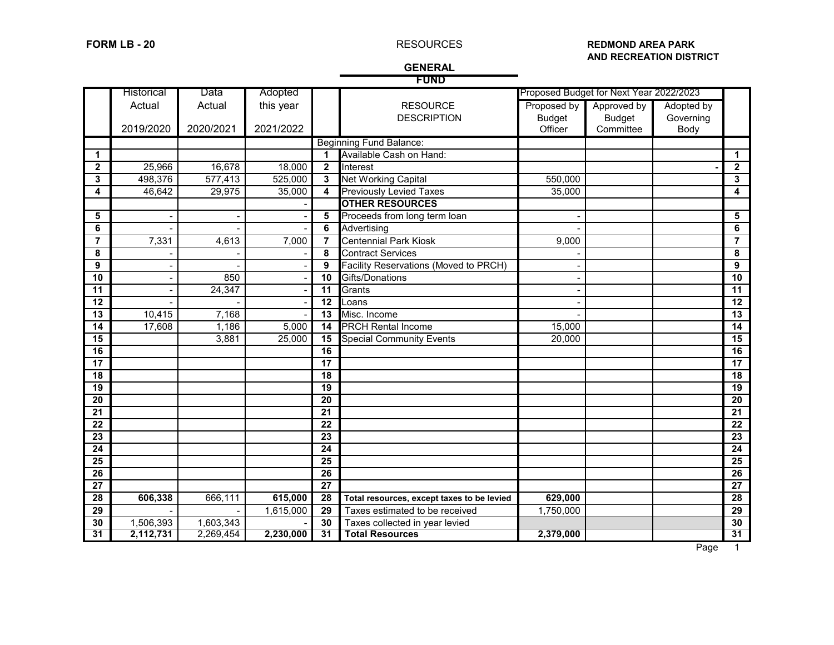### **FORM LB - 20 REDMOND AREA PARK REDMOND AREA PARK AND RECREATION DISTRICT**

### **GENERAL FUND**

|                         |                   |           |           |                         | . טוי                                        |               |                                         |            |                 |
|-------------------------|-------------------|-----------|-----------|-------------------------|----------------------------------------------|---------------|-----------------------------------------|------------|-----------------|
|                         | <b>Historical</b> | Data      | Adopted   |                         |                                              |               | Proposed Budget for Next Year 2022/2023 |            |                 |
|                         | Actual            | Actual    | this year |                         | <b>RESOURCE</b>                              | Proposed by   | Approved by                             | Adopted by |                 |
|                         |                   |           |           |                         | <b>DESCRIPTION</b>                           | <b>Budget</b> | <b>Budget</b>                           | Governing  |                 |
|                         | 2019/2020         | 2020/2021 | 2021/2022 |                         |                                              | Officer       | Committee                               | Body       |                 |
|                         |                   |           |           |                         | <b>Beginning Fund Balance:</b>               |               |                                         |            |                 |
| $\mathbf{1}$            |                   |           |           |                         | Available Cash on Hand:                      |               |                                         |            | 1               |
| $\overline{\mathbf{2}}$ | 25,966            | 16,678    | 18,000    | $\overline{2}$          | Interest                                     |               |                                         |            | $\mathbf{2}$    |
| $\overline{\mathbf{3}}$ | 498,376           | 577,413   | 525,000   | $\mathbf{3}$            | <b>Net Working Capital</b>                   | 550,000       |                                         |            | 3               |
| 4                       | 46,642            | 29,975    | 35,000    | $\overline{\mathbf{4}}$ | <b>Previously Levied Taxes</b>               | 35,000        |                                         |            | 4               |
|                         |                   |           |           |                         | <b>OTHER RESOURCES</b>                       |               |                                         |            |                 |
| $\overline{\mathbf{5}}$ |                   |           |           | 5                       | Proceeds from long term loan                 |               |                                         |            | 5               |
| $\overline{6}$          |                   |           |           | 6                       | Advertising                                  |               |                                         |            | 6               |
| $\overline{\mathbf{7}}$ | 7,331             | 4,613     | 7,000     | $\overline{7}$          | <b>Centennial Park Kiosk</b>                 | 9,000         |                                         |            | 7               |
| 8                       |                   |           |           | 8                       | <b>Contract Services</b>                     |               |                                         |            | 8               |
| $\overline{9}$          |                   |           |           | 9                       | <b>Facility Reservations (Moved to PRCH)</b> |               |                                         |            | 9               |
| $\overline{10}$         |                   | 850       |           | $\overline{10}$         | Gifts/Donations                              |               |                                         |            | $\overline{10}$ |
| 11                      |                   | 24,347    |           | 11                      | Grants                                       |               |                                         |            | 11              |
| $\overline{12}$         |                   |           |           | 12                      | Loans                                        |               |                                         |            | 12              |
| 13                      | 10,415            | 7,168     |           | 13                      | Misc. Income                                 |               |                                         |            | 13              |
| 14                      | 17,608            | 1,186     | 5,000     | 14                      | <b>PRCH Rental Income</b>                    | 15,000        |                                         |            | 14              |
| $\overline{15}$         |                   | 3,881     | 25,000    | 15                      | <b>Special Community Events</b>              | 20,000        |                                         |            | 15              |
| $\overline{16}$         |                   |           |           | 16                      |                                              |               |                                         |            | 16              |
| $\overline{17}$         |                   |           |           | 17                      |                                              |               |                                         |            | $\overline{17}$ |
| 18                      |                   |           |           | 18                      |                                              |               |                                         |            | 18              |
| $\overline{19}$         |                   |           |           | 19                      |                                              |               |                                         |            | 19              |
| $\overline{20}$         |                   |           |           | 20                      |                                              |               |                                         |            | 20              |
| 21                      |                   |           |           | 21                      |                                              |               |                                         |            | 21              |
| $\overline{22}$         |                   |           |           | 22                      |                                              |               |                                         |            | $\overline{22}$ |
| $\overline{23}$         |                   |           |           | $\overline{23}$         |                                              |               |                                         |            | $\overline{23}$ |
| $\overline{24}$         |                   |           |           | 24                      |                                              |               |                                         |            | 24              |
| 25                      |                   |           |           | 25                      |                                              |               |                                         |            | 25              |
| $\overline{26}$         |                   |           |           | $\overline{26}$         |                                              |               |                                         |            | $\overline{26}$ |
|                         |                   |           |           |                         |                                              |               |                                         |            |                 |

 **27 27 28 606,338** 666,111 **615,000 28 Total resources, except taxes to be levied 629,000 28** - 1,615,000 **29** Taxes estimated to be received 1,750,000 1,506,393 1,603,343 - 30 Taxes collected in year levied 30 **30** 1,506,393 1,603,343 - **30** Taxes collected in year levied **30**<br> **31 2,112,731** 2,269,454 **2,230,000 31** Total Resources 2,379,000 2,379,000 **31 2,112,731** 2,269,454 **2,230,000 31 Total Resources 2,379,000 31**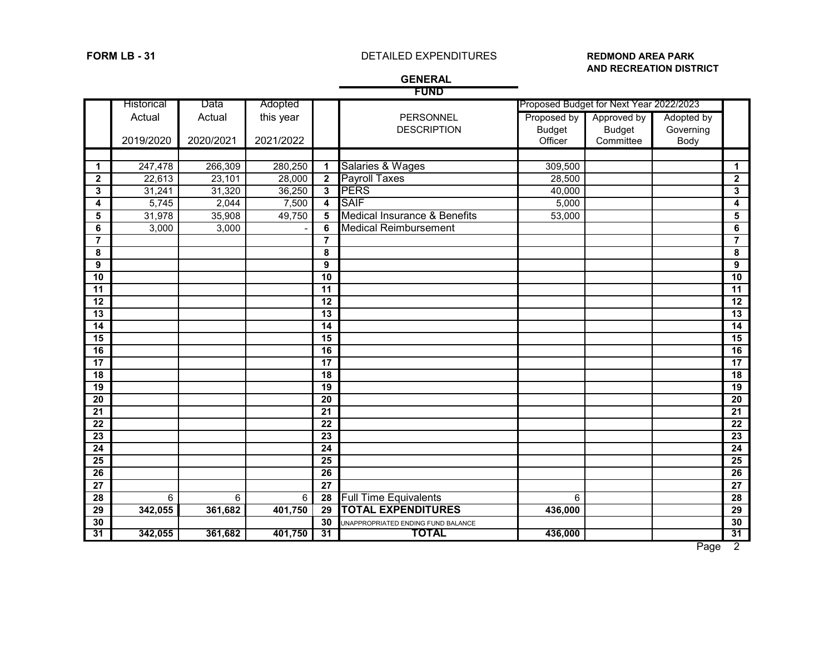# **FORM LB - 31** DETAILED EXPENDITURES **REDMOND AREA PARK**

# **AND RECREATION DISTRICT**

**GENERAL** 

|                 | <b>FUND</b>       |           |           |                         |                                    |               |                                         |            |                 |
|-----------------|-------------------|-----------|-----------|-------------------------|------------------------------------|---------------|-----------------------------------------|------------|-----------------|
|                 | <b>Historical</b> | Data      | Adopted   |                         |                                    |               | Proposed Budget for Next Year 2022/2023 |            |                 |
|                 | Actual            | Actual    | this year |                         | PERSONNEL                          | Proposed by   | Approved by                             | Adopted by |                 |
|                 |                   |           |           |                         | <b>DESCRIPTION</b>                 | <b>Budget</b> | <b>Budget</b>                           | Governing  |                 |
|                 | 2019/2020         | 2020/2021 | 2021/2022 |                         |                                    | Officer       | Committee                               | Body       |                 |
|                 |                   |           |           |                         |                                    |               |                                         |            |                 |
| $\mathbf{1}$    | 247,478           | 266,309   | 280,250   | $\blacktriangleleft$    | Salaries & Wages                   | 309,500       |                                         |            | $\mathbf 1$     |
| $\mathbf{2}$    | 22,613            | 23,101    | 28,000    | $\mathbf{2}$            | <b>Payroll Taxes</b>               | 28,500        |                                         |            | $\mathbf{2}$    |
| 3               | 31,241            | 31,320    | 36,250    | $\mathbf{3}$            | <b>PERS</b>                        | 40,000        |                                         |            | 3               |
| 4               | 5,745             | 2,044     | 7,500     | $\overline{\mathbf{4}}$ | <b>SAIF</b>                        | 5,000         |                                         |            | 4               |
| 5               | 31,978            | 35,908    | 49,750    | 5                       | Medical Insurance & Benefits       | 53,000        |                                         |            | 5               |
| 6               | 3,000             | 3,000     |           | 6                       | <b>Medical Reimbursement</b>       |               |                                         |            | 6               |
| $\overline{7}$  |                   |           |           | $\overline{7}$          |                                    |               |                                         |            | $\overline{7}$  |
| 8               |                   |           |           | 8                       |                                    |               |                                         |            | 8               |
| 9               |                   |           |           | 9                       |                                    |               |                                         |            | 9               |
| $\overline{10}$ |                   |           |           | 10                      |                                    |               |                                         |            | 10              |
| 11              |                   |           |           | 11                      |                                    |               |                                         |            | $\overline{11}$ |
| 12              |                   |           |           | 12                      |                                    |               |                                         |            | $\overline{12}$ |
| 13              |                   |           |           | 13                      |                                    |               |                                         |            | $\overline{13}$ |
| $\overline{14}$ |                   |           |           | 14                      |                                    |               |                                         |            | $\overline{14}$ |
| $\overline{15}$ |                   |           |           | 15                      |                                    |               |                                         |            | $\overline{15}$ |
| 16              |                   |           |           | 16                      |                                    |               |                                         |            | 16              |
| $\overline{17}$ |                   |           |           | $\overline{17}$         |                                    |               |                                         |            | $\overline{17}$ |
| 18              |                   |           |           | 18                      |                                    |               |                                         |            | 18              |
| 19              |                   |           |           | 19                      |                                    |               |                                         |            | $\overline{19}$ |
| $\overline{20}$ |                   |           |           | $\overline{20}$         |                                    |               |                                         |            | $\overline{20}$ |
| $\overline{21}$ |                   |           |           | $\overline{21}$         |                                    |               |                                         |            | $\overline{21}$ |
| 22              |                   |           |           | $\overline{22}$         |                                    |               |                                         |            | $\overline{22}$ |
| 23              |                   |           |           | 23                      |                                    |               |                                         |            | 23              |
| 24              |                   |           |           | $\overline{24}$         |                                    |               |                                         |            | $\overline{24}$ |
| 25              |                   |           |           | $\overline{25}$         |                                    |               |                                         |            | $\overline{25}$ |
| 26              |                   |           |           | 26                      |                                    |               |                                         |            | $\overline{26}$ |
| $\overline{27}$ |                   |           |           | $\overline{27}$         |                                    |               |                                         |            | 27              |
| 28              | 6                 | 6         | 6         | 28                      | <b>Full Time Equivalents</b>       | 6             |                                         |            | $\overline{28}$ |
| 29              | 342,055           | 361,682   | 401,750   | 29                      | <b>TOTAL EXPENDITURES</b>          | 436,000       |                                         |            | $\overline{29}$ |
| 30              |                   |           |           | 30                      | UNAPPROPRIATED ENDING FUND BALANCE |               |                                         |            | 30              |
| 31              | 342,055           | 361,682   | 401,750   | 31                      | <b>TOTAL</b>                       | 436,000       |                                         |            | 31              |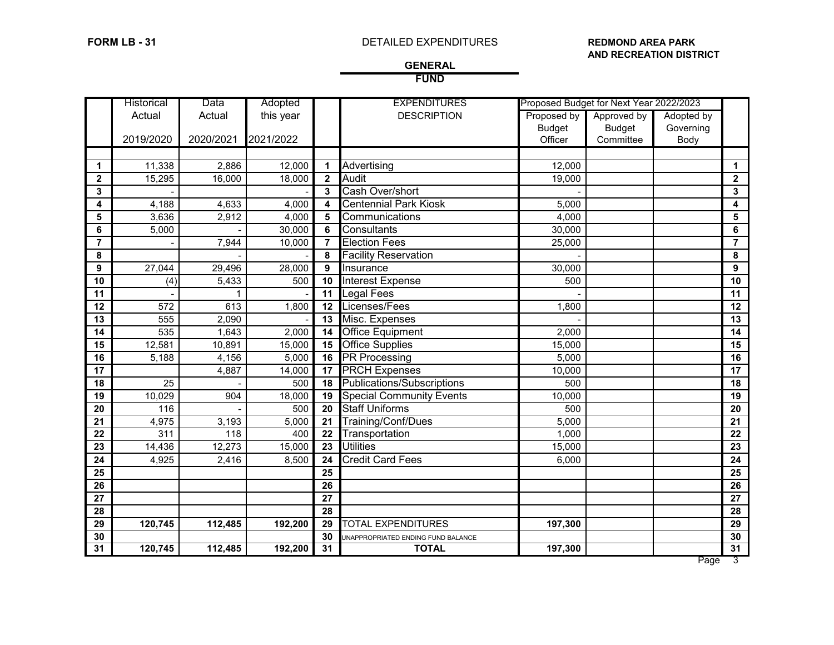## **FORM LB - 31** DETAILED EXPENDITURES **REDMOND AREA PARK**

# **AND RECREATION DISTRICT**

## **GENERAL FUND**

|                  | Historical | Data      | Adopted   |              | <b>EXPENDITURES</b>                | Proposed Budget for Next Year 2022/2023 |               |            |                |
|------------------|------------|-----------|-----------|--------------|------------------------------------|-----------------------------------------|---------------|------------|----------------|
|                  | Actual     | Actual    | this year |              | <b>DESCRIPTION</b>                 | Proposed by                             | Approved by   | Adopted by |                |
|                  |            |           |           |              |                                    | <b>Budget</b>                           | <b>Budget</b> | Governing  |                |
|                  | 2019/2020  | 2020/2021 | 2021/2022 |              |                                    | Officer                                 | Committee     | Body       |                |
|                  |            |           |           |              |                                    |                                         |               |            |                |
| $\mathbf 1$      | 11,338     | 2,886     | 12,000    | 1            | Advertising                        | 12,000                                  |               |            | 1              |
| $\mathbf{2}$     | 15,295     | 16,000    | 18,000    | $\mathbf{2}$ | Audit                              | 19,000                                  |               |            | $\mathbf{2}$   |
| $\mathbf{3}$     |            |           |           | 3            | Cash Over/short                    |                                         |               |            | 3              |
| 4                | 4,188      | 4,633     | 4,000     | 4            | <b>Centennial Park Kiosk</b>       | 5,000                                   |               |            | 4              |
| 5                | 3,636      | 2,912     | 4,000     | 5            | Communications                     | 4,000                                   |               |            | 5              |
| 6                | 5,000      |           | 30,000    | 6            | Consultants                        | 30,000                                  |               |            | $\bf 6$        |
| $\overline{7}$   |            | 7,944     | 10,000    | 7            | <b>Election Fees</b>               | 25,000                                  |               |            | $\overline{7}$ |
| 8                |            |           |           | 8            | <b>Facility Reservation</b>        |                                         |               |            | 8              |
| $\boldsymbol{9}$ | 27,044     | 29,496    | 28,000    | 9            | Insurance                          | 30,000                                  |               |            | 9              |
| 10               | (4)        | 5,433     | 500       | 10           | <b>Interest Expense</b>            | 500                                     |               |            | 10             |
| 11               |            |           |           | 11           | Legal Fees                         |                                         |               |            | 11             |
| $\overline{12}$  | 572        | 613       | 1,800     | 12           | Licenses/Fees                      | 1,800                                   |               |            | 12             |
| 13               | 555        | 2,090     |           | 13           | Misc. Expenses                     |                                         |               |            | 13             |
| 14               | 535        | 1,643     | 2,000     | 14           | <b>Office Equipment</b>            | 2,000                                   |               |            | 14             |
| 15               | 12,581     | 10,891    | 15,000    | 15           | <b>Office Supplies</b>             | 15,000                                  |               |            | 15             |
| 16               | 5,188      | 4,156     | 5,000     | 16           | <b>PR Processing</b>               | 5,000                                   |               |            | 16             |
| 17               |            | 4,887     | 14,000    | 17           | <b>PRCH Expenses</b>               | 10,000                                  |               |            | 17             |
| 18               | 25         |           | 500       | 18           | <b>Publications/Subscriptions</b>  | 500                                     |               |            | 18             |
| 19               | 10,029     | 904       | 18,000    | 19           | <b>Special Community Events</b>    | 10,000                                  |               |            | 19             |
| 20               | 116        |           | 500       | 20           | <b>Staff Uniforms</b>              | 500                                     |               |            | 20             |
| 21               | 4,975      | 3,193     | 5,000     | 21           | Training/Conf/Dues                 | 5,000                                   |               |            | 21             |
| 22               | 311        | 118       | 400       | 22           | Transportation                     | 1,000                                   |               |            | 22             |
| 23               | 14,436     | 12,273    | 15,000    | 23           | <b>Utilities</b>                   | 15,000                                  |               |            | 23             |
| 24               | 4,925      | 2,416     | 8,500     | 24           | <b>Credit Card Fees</b>            | 6,000                                   |               |            | 24             |
| 25               |            |           |           | 25           |                                    |                                         |               |            | 25             |
| 26               |            |           |           | 26           |                                    |                                         |               |            | 26             |
| $\overline{27}$  |            |           |           | 27           |                                    |                                         |               |            | 27             |
| 28               |            |           |           | 28           |                                    |                                         |               |            | 28             |
| 29               | 120,745    | 112,485   | 192,200   | 29           | <b>TOTAL EXPENDITURES</b>          | 197,300                                 |               |            | 29             |
| 30               |            |           |           | 30           | UNAPPROPRIATED ENDING FUND BALANCE |                                         |               |            | 30             |
| 31               | 120,745    | 112,485   | 192,200   | 31           | <b>TOTAL</b>                       | 197,300                                 |               |            | 31             |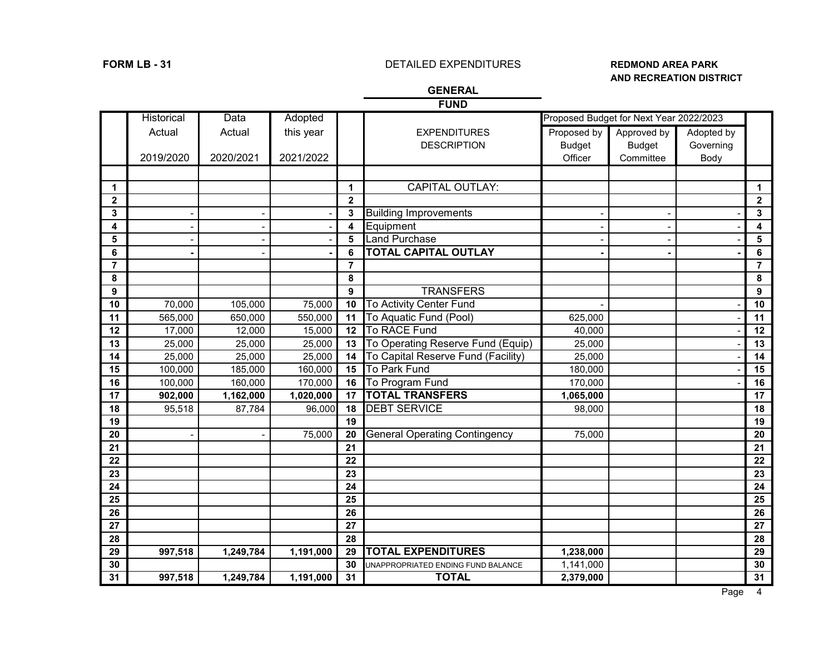# **FORM LB - 31** DETAILED EXPENDITURES **REDMOND AREA PARK**

# **AND RECREATION DISTRICT**

# **GENERAL**

| ۰, |
|----|
|----|

|                | Historical | Data      | Adopted   |                 |                                      |               | Proposed Budget for Next Year 2022/2023 |            |                 |
|----------------|------------|-----------|-----------|-----------------|--------------------------------------|---------------|-----------------------------------------|------------|-----------------|
|                | Actual     | Actual    | this year |                 | <b>EXPENDITURES</b>                  | Proposed by   | Approved by                             | Adopted by |                 |
|                |            |           |           |                 | <b>DESCRIPTION</b>                   | <b>Budget</b> | <b>Budget</b>                           | Governing  |                 |
|                | 2019/2020  | 2020/2021 | 2021/2022 |                 |                                      | Officer       | Committee                               | Body       |                 |
|                |            |           |           |                 |                                      |               |                                         |            |                 |
| 1              |            |           |           | $\mathbf{1}$    | <b>CAPITAL OUTLAY:</b>               |               |                                         |            | 1               |
| $\overline{2}$ |            |           |           | $\overline{2}$  |                                      |               |                                         |            | $\mathbf 2$     |
| 3              |            |           |           | 3               | <b>Building Improvements</b>         |               |                                         |            | 3               |
| 4              |            |           |           | 4               | Equipment                            |               |                                         |            | 4               |
| 5              |            |           |           | 5               | Land Purchase                        |               |                                         |            | $\sqrt{5}$      |
| 6              |            |           |           | 6               | <b>TOTAL CAPITAL OUTLAY</b>          |               |                                         |            | 6               |
| $\overline{7}$ |            |           |           | $\overline{7}$  |                                      |               |                                         |            | $\overline{7}$  |
| 8              |            |           |           | 8               |                                      |               |                                         |            | 8               |
| 9              |            |           |           | 9               | <b>TRANSFERS</b>                     |               |                                         |            | 9               |
| 10             | 70,000     | 105,000   | 75,000    | 10              | To Activity Center Fund              |               |                                         |            | 10              |
| 11             | 565,000    | 650,000   | 550,000   | 11              | To Aquatic Fund (Pool)               | 625,000       |                                         |            | 11              |
| 12             | 17,000     | 12,000    | 15,000    | 12              | To RACE Fund                         | 40,000        |                                         |            | 12              |
| 13             | 25,000     | 25,000    | 25,000    | 13              | To Operating Reserve Fund (Equip)    | 25,000        |                                         |            | 13              |
| 14             | 25,000     | 25,000    | 25,000    | 14              | To Capital Reserve Fund (Facility)   | 25,000        |                                         |            | 14              |
| 15             | 100,000    | 185,000   | 160,000   | 15              | To Park Fund                         | 180,000       |                                         |            | 15              |
| 16             | 100,000    | 160,000   | 170,000   | 16              | To Program Fund                      | 170,000       |                                         |            | 16              |
| 17             | 902,000    | 1,162,000 | 1,020,000 | 17              | <b>TOTAL TRANSFERS</b>               | 1,065,000     |                                         |            | 17              |
| 18             | 95,518     | 87,784    | 96,000    | 18              | <b>DEBT SERVICE</b>                  | 98,000        |                                         |            | 18              |
| 19             |            |           |           | 19              |                                      |               |                                         |            | 19              |
| 20             |            |           | 75,000    | 20              | <b>General Operating Contingency</b> | 75,000        |                                         |            | 20              |
| 21             |            |           |           | 21              |                                      |               |                                         |            | 21              |
| 22             |            |           |           | 22              |                                      |               |                                         |            | 22              |
| 23             |            |           |           | 23              |                                      |               |                                         |            | 23              |
| 24             |            |           |           | 24              |                                      |               |                                         |            | 24              |
| 25             |            |           |           | 25              |                                      |               |                                         |            | 25              |
| 26             |            |           |           | 26              |                                      |               |                                         |            | 26              |
| 27             |            |           |           | 27              |                                      |               |                                         |            | 27              |
| 28             |            |           |           | 28              |                                      |               |                                         |            | 28              |
| 29             | 997,518    | 1,249,784 | 1,191,000 | 29              | <b>TOTAL EXPENDITURES</b>            | 1,238,000     |                                         |            | 29              |
| 30             |            |           |           | 30              | UNAPPROPRIATED ENDING FUND BALANCE   | 1,141,000     |                                         |            | 30              |
| 31             | 997,518    | 1,249,784 | 1,191,000 | $\overline{31}$ | <b>TOTAL</b>                         | 2,379,000     |                                         |            | $\overline{31}$ |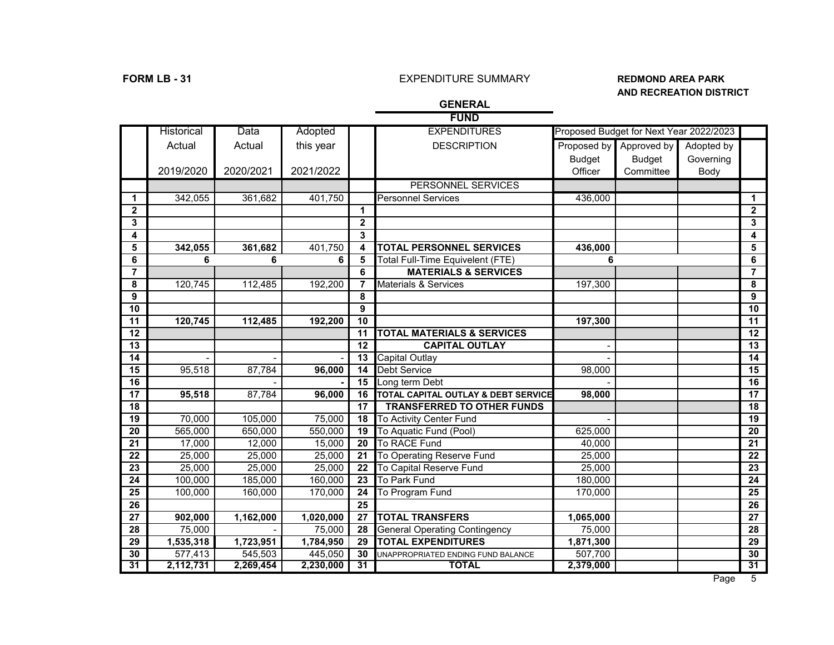# **FORM LB - 31** EXPENDITURE SUMMARY **REDMOND AREA PARK**

# **AND RECREATION DISTRICT**

|                 |                   |           |           |                 | <b>FUND</b>                           |               |                                         |            |                         |
|-----------------|-------------------|-----------|-----------|-----------------|---------------------------------------|---------------|-----------------------------------------|------------|-------------------------|
|                 | <b>Historical</b> | Data      | Adopted   |                 | <b>EXPENDITURES</b>                   |               | Proposed Budget for Next Year 2022/2023 |            |                         |
|                 | Actual            | Actual    | this year |                 | <b>DESCRIPTION</b>                    | Proposed by   | Approved by                             | Adopted by |                         |
|                 |                   |           |           |                 |                                       | <b>Budget</b> | <b>Budget</b>                           | Governing  |                         |
|                 | 2019/2020         | 2020/2021 | 2021/2022 |                 |                                       | Officer       | Committee                               | Body       |                         |
|                 |                   |           |           |                 | <b>PERSONNEL SERVICES</b>             |               |                                         |            |                         |
| $\mathbf 1$     | 342,055           | 361,682   | 401,750   |                 | <b>Personnel Services</b>             | 436,000       |                                         |            | 1                       |
| $\mathbf{2}$    |                   |           |           | $\mathbf{1}$    |                                       |               |                                         |            | $\mathbf{2}$            |
| 3               |                   |           |           | $\overline{2}$  |                                       |               |                                         |            | $\mathbf{3}$            |
| 4               |                   |           |           | $\mathbf{3}$    |                                       |               |                                         |            | $\overline{\mathbf{4}}$ |
| 5               | 342,055           | 361,682   | 401,750   | 4               | <b>TOTAL PERSONNEL SERVICES</b>       | 436,000       |                                         |            | 5                       |
| 6               | 6                 | 6         | 6         | 5               | Total Full-Time Equivelent (FTE)      | 6             |                                         |            | 6                       |
| 7               |                   |           |           | 6               | <b>MATERIALS &amp; SERVICES</b>       |               |                                         |            | $\overline{7}$          |
| 8               | 120,745           | 112,485   | 192,200   | $\overline{7}$  | Materials & Services                  | 197,300       |                                         |            | 8                       |
| 9               |                   |           |           | 8               |                                       |               |                                         |            | 9                       |
| 10              |                   |           |           | 9               |                                       |               |                                         |            | 10                      |
| 11              | 120,745           | 112,485   | 192,200   | $\overline{10}$ |                                       | 197,300       |                                         |            | $\overline{11}$         |
| 12              |                   |           |           | 11              | <b>TOTAL MATERIALS &amp; SERVICES</b> |               |                                         |            | 12                      |
| $\overline{13}$ |                   |           |           | 12              | <b>CAPITAL OUTLAY</b>                 |               |                                         |            | $\overline{13}$         |
| $\overline{14}$ |                   |           |           | $\overline{13}$ | Capital Outlay                        |               |                                         |            | 14                      |
| 15              | 95,518            | 87,784    | 96,000    | 14              | <b>Debt Service</b>                   | 98,000        |                                         |            | 15                      |
| 16              |                   |           |           | 15              | Long term Debt                        |               |                                         |            | 16                      |
| $\overline{17}$ | 95,518            | 87,784    | 96,000    | 16              | TOTAL CAPITAL OUTLAY & DEBT SERVICE   | 98,000        |                                         |            | $\overline{17}$         |
| $\overline{18}$ |                   |           |           | 17              | <b>TRANSFERRED TO OTHER FUNDS</b>     |               |                                         |            | 18                      |
| $\overline{19}$ | 70,000            | 105,000   | 75,000    | 18              | To Activity Center Fund               |               |                                         |            | $\overline{19}$         |
| 20              | 565,000           | 650,000   | 550,000   | 19              | To Aquatic Fund (Pool)                | 625,000       |                                         |            | 20                      |
| 21              | 17,000            | 12,000    | 15,000    | 20              | To RACE Fund                          | 40,000        |                                         |            | 21                      |
| $\overline{22}$ | 25,000            | 25,000    | 25,000    | $\overline{21}$ | To Operating Reserve Fund             | 25,000        |                                         |            | 22                      |
| $\overline{23}$ | 25,000            | 25,000    | 25,000    | 22              | To Capital Reserve Fund               | 25,000        |                                         |            | 23                      |
| $\overline{24}$ | 100,000           | 185,000   | 160,000   | $\overline{23}$ | <b>To Park Fund</b>                   | 180,000       |                                         |            | $\overline{24}$         |
| $\overline{25}$ | 100,000           | 160,000   | 170,000   | 24              | To Program Fund                       | 170,000       |                                         |            | 25                      |
| $\overline{26}$ |                   |           |           | $\overline{25}$ |                                       |               |                                         |            | 26                      |
| $\overline{27}$ | 902,000           | 1,162,000 | 1,020,000 | $\overline{27}$ | <b>TOTAL TRANSFERS</b>                | 1,065,000     |                                         |            | 27                      |
| 28              | 75,000            |           | 75,000    | 28              | <b>General Operating Contingency</b>  | 75,000        |                                         |            | 28                      |
| $\overline{29}$ | 1,535,318         | 1,723,951 | 1,784,950 | 29              | <b>TOTAL EXPENDITURES</b>             | 1,871,300     |                                         |            | 29                      |
| 30              | 577,413           | 545,503   | 445,050   | 30              | UNAPPROPRIATED ENDING FUND BALANCE    | 507,700       |                                         |            | 30                      |
| 31              | 2,112,731         | 2,269,454 | 2,230,000 | 31              | <b>TOTAL</b>                          | 2,379,000     |                                         |            | 31                      |

# **GENERAL**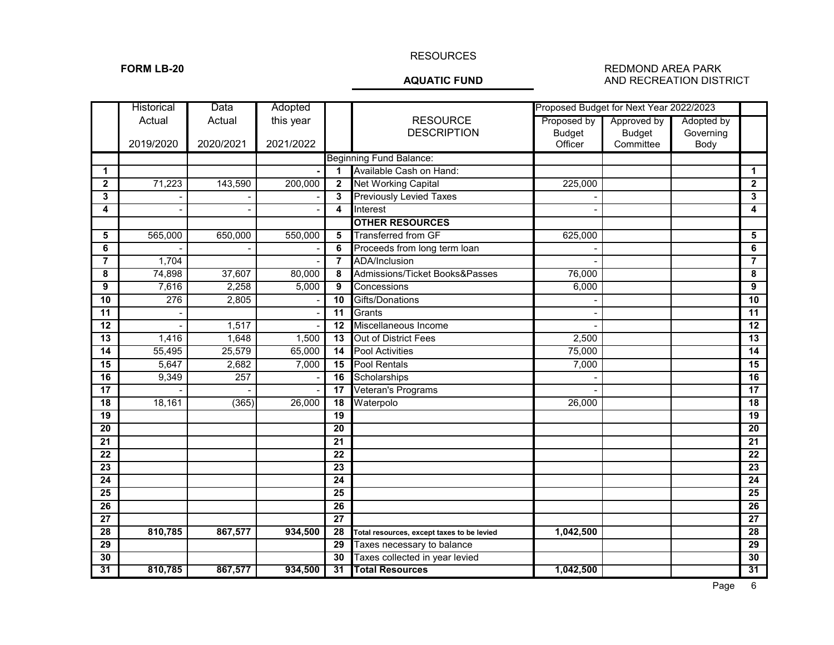### RESOURCES

### FORM LB-20<br>**AQUATIC FUND** REDMOND AREA PARK AND RECREATION DIST **AND RECREATION DISTRICT**

|                         | <b>Historical</b> | Data      | Adopted   |                 |                                            |               | Proposed Budget for Next Year 2022/2023 |            |                         |
|-------------------------|-------------------|-----------|-----------|-----------------|--------------------------------------------|---------------|-----------------------------------------|------------|-------------------------|
|                         | Actual            | Actual    | this year |                 | <b>RESOURCE</b>                            | Proposed by   | Approved by                             | Adopted by |                         |
|                         |                   |           |           |                 | <b>DESCRIPTION</b>                         | <b>Budget</b> | <b>Budget</b>                           | Governing  |                         |
|                         | 2019/2020         | 2020/2021 | 2021/2022 |                 |                                            | Officer       | Committee                               | Body       |                         |
|                         |                   |           |           |                 | <b>Beginning Fund Balance:</b>             |               |                                         |            |                         |
| $\mathbf 1$             |                   |           |           | 1               | Available Cash on Hand:                    |               |                                         |            | 1                       |
| $\overline{\mathbf{2}}$ | 71,223            | 143,590   | 200,000   | $\mathbf{2}$    | <b>Net Working Capital</b>                 | 225,000       |                                         |            | $\overline{\mathbf{2}}$ |
| 3                       |                   |           |           | 3               | <b>Previously Levied Taxes</b>             |               |                                         |            | 3                       |
| 4                       |                   |           |           | 4               | Interest                                   |               |                                         |            | 4                       |
|                         |                   |           |           |                 | <b>OTHER RESOURCES</b>                     |               |                                         |            |                         |
| 5                       | 565,000           | 650,000   | 550,000   | 5               | <b>Transferred from GF</b>                 | 625,000       |                                         |            | 5                       |
| 6                       |                   |           |           | 6               | Proceeds from long term loan               |               |                                         |            | 6                       |
| $\overline{7}$          | 1,704             |           |           | $\overline{7}$  | <b>ADA/Inclusion</b>                       |               |                                         |            | $\overline{7}$          |
| 8                       | 74,898            | 37,607    | 80,000    | 8               | Admissions/Ticket Books&Passes             | 76,000        |                                         |            | 8                       |
| 9                       | 7,616             | 2,258     | 5,000     | 9               | Concessions                                | 6,000         |                                         |            | 9                       |
| $\overline{10}$         | 276               | 2,805     |           | 10              | Gifts/Donations                            |               |                                         |            | $\overline{10}$         |
| 11                      |                   |           |           | 11              | Grants                                     |               |                                         |            | $\overline{11}$         |
| 12                      |                   | 1,517     |           | $\overline{12}$ | Miscellaneous Income                       |               |                                         |            | 12                      |
| 13                      | 1,416             | 1,648     | 1,500     | 13              | <b>Out of District Fees</b>                | 2,500         |                                         |            | $\overline{13}$         |
| $\overline{14}$         | 55,495            | 25,579    | 65,000    | 14              | <b>Pool Activities</b>                     | 75,000        |                                         |            | $\overline{14}$         |
| 15                      | 5,647             | 2,682     | 7,000     | 15              | <b>Pool Rentals</b>                        | 7,000         |                                         |            | 15                      |
| 16                      | 9,349             | 257       |           | 16              | Scholarships                               |               |                                         |            | 16                      |
| $\overline{17}$         |                   |           |           | 17              | Veteran's Programs                         |               |                                         |            | 17                      |
| $\overline{18}$         | 18,161            | (365)     | 26,000    | 18              | Waterpolo                                  | 26,000        |                                         |            | 18                      |
| 19                      |                   |           |           | 19              |                                            |               |                                         |            | 19                      |
| 20                      |                   |           |           | 20              |                                            |               |                                         |            | 20                      |
| $\overline{21}$         |                   |           |           | 21              |                                            |               |                                         |            | 21                      |
| 22                      |                   |           |           | 22              |                                            |               |                                         |            | $\overline{22}$         |
| $\overline{23}$         |                   |           |           | $\overline{23}$ |                                            |               |                                         |            | $\overline{23}$         |
| $\overline{24}$         |                   |           |           | 24              |                                            |               |                                         |            | $\overline{24}$         |
| $\overline{25}$         |                   |           |           | $\overline{25}$ |                                            |               |                                         |            | $\overline{25}$         |
| 26                      |                   |           |           | 26              |                                            |               |                                         |            | 26                      |
| $\overline{27}$         |                   |           |           | $\overline{27}$ |                                            |               |                                         |            | $\overline{27}$         |
| 28                      | 810,785           | 867,577   | 934,500   | 28              | Total resources, except taxes to be levied | 1,042,500     |                                         |            | 28                      |
| $\overline{29}$         |                   |           |           | 29              | Taxes necessary to balance                 |               |                                         |            | 29                      |
| $\overline{30}$         |                   |           |           | 30              | Taxes collected in year levied             |               |                                         |            | 30                      |
| 31                      | 810,785           | 867,577   | 934,500   | 31              | <b>Total Resources</b>                     | 1,042,500     |                                         |            | 31                      |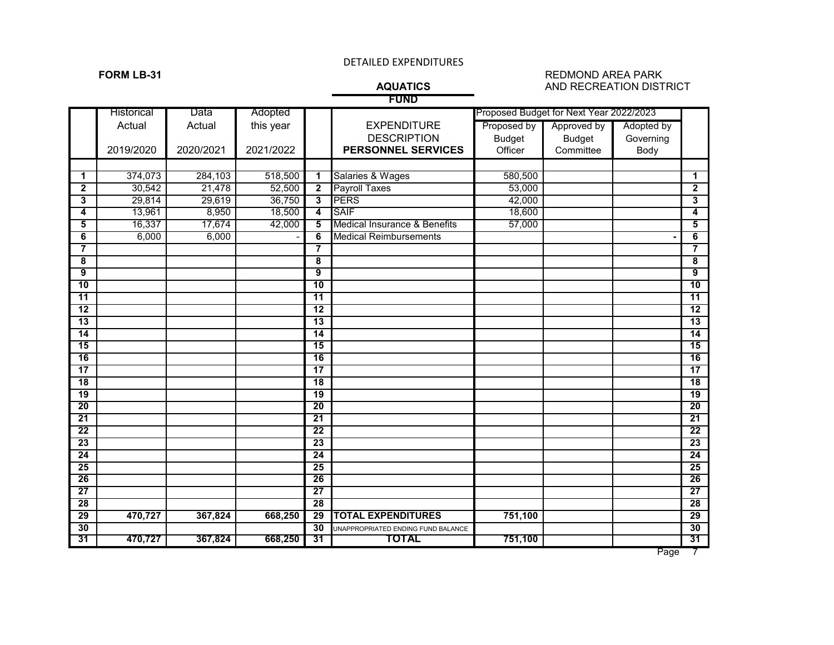# **FUND**

### **FORM LB-31** REDMOND AREA PARK<br>**AQUATICS** AND RECREATION DIST **AND RECREATION DISTRICT**

Historical Data Adopted Proposed Budget for Next Year 2022/2023 Actual | Actual | this year | | EXPENDITURE | Proposed by | Approved by | Adopted by DESCRIPTION Budget Budget Governing<br> **SONNEL SERVICES** Officer Committee Body 2019/2020 **2020/2021 2021/2022 <b>PERSONNEL SERVICES**   $\begin{bmatrix} 374,073 \end{bmatrix}$  284,103 518,500 **1** Salaries & Wages  $\begin{bmatrix} 580,500 \end{bmatrix}$  580,500  $\begin{bmatrix} 1 \end{bmatrix}$   $\vert$  30,542  $\vert$  21,478 52,500 **2** Payroll Taxes  $\vert$  53,000  $\vert$  1  $\vert$  2 29,814 29,619 36,750 **3** PERS 42,000 **3** 13,961 8,950 18,500 **4** SAIF 18,600 **4** 16,337 17,674 42,000 **5** Medical Insurance & Benefits 57,000 **5** 6,000 6,000 - **6** Medical Reimbursements **- 6 7 7 8 8 9 9 10 10 11 11 12 12 13 13 14 14 15 15 16 16 17 17 18 18 19 19 20 20 21 21 22 22 23 23 24 24 25 25 26 26 27 27 28 28 29 470,727 367,824 668,250 29 TOTAL EXPENDITURES 751,100 29 30** UNAPPROPRIATED ENDING FUND BALANCE **30 31 30** UNAPPROPRIATED ENDING FUND BALANCE **30 31 31 31 31 470,727 367,824 668,250 31 TOTAL 751,100 31**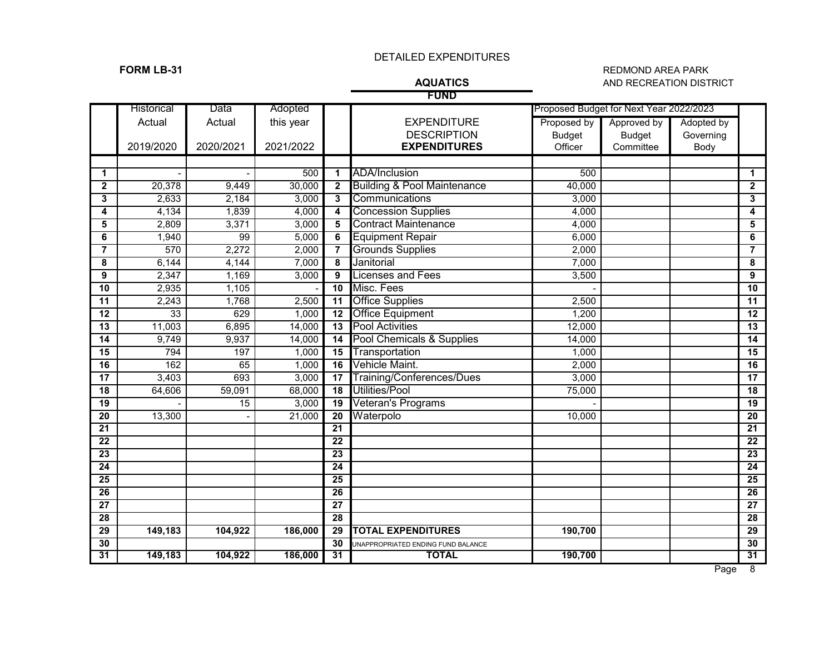## **FORM LB-31** REDMOND AREA PARK<br>**AQUATICS** AND RECREATION DIST **AND RECREATION DISTRICT**

# **FUND**

|                 | Historical | Data      | Adopted   |                 |                                        |               | Proposed Budget for Next Year 2022/2023 |            |                 |
|-----------------|------------|-----------|-----------|-----------------|----------------------------------------|---------------|-----------------------------------------|------------|-----------------|
|                 | Actual     | Actual    | this year |                 | <b>EXPENDITURE</b>                     | Proposed by   | Approved by                             | Adopted by |                 |
|                 |            |           |           |                 | <b>DESCRIPTION</b>                     | <b>Budget</b> | <b>Budget</b>                           | Governing  |                 |
|                 | 2019/2020  | 2020/2021 | 2021/2022 |                 | <b>EXPENDITURES</b>                    | Officer       | Committee                               | Body       |                 |
|                 |            |           |           |                 |                                        |               |                                         |            |                 |
| $\mathbf{1}$    |            |           | 500       | 1               | <b>ADA/Inclusion</b>                   | 500           |                                         |            | 1               |
| $\mathbf{2}$    | 20,378     | 9,449     | 30,000    | $\mathbf{2}$    | <b>Building &amp; Pool Maintenance</b> | 40,000        |                                         |            | $\mathbf 2$     |
| 3               | 2,633      | 2,184     | 3,000     | 3               | Communications                         | 3,000         |                                         |            | 3               |
| 4               | 4,134      | 1,839     | 4,000     | 4               | <b>Concession Supplies</b>             | 4,000         |                                         |            | 4               |
| 5               | 2,809      | 3,371     | 3,000     | 5               | <b>Contract Maintenance</b>            | 4,000         |                                         |            | 5               |
| 6               | 1,940      | 99        | 5,000     | 6               | <b>Equipment Repair</b>                | 6,000         |                                         |            | 6               |
| 7               | 570        | 2,272     | 2,000     | 7               | <b>Grounds Supplies</b>                | 2,000         |                                         |            | $\overline{7}$  |
| 8               | 6,144      | 4,144     | 7,000     | 8               | Janitorial                             | 7,000         |                                         |            | 8               |
| 9               | 2,347      | 1,169     | 3,000     | 9               | icenses and Fees                       | 3,500         |                                         |            | 9               |
| 10              | 2,935      | 1,105     |           | 10              | Misc. Fees                             |               |                                         |            | 10              |
| 11              | 2,243      | 1,768     | 2,500     | 11              | <b>Office Supplies</b>                 | 2,500         |                                         |            | 11              |
| 12              | 33         | 629       | 1,000     | 12              | <b>Office Equipment</b>                | 1,200         |                                         |            | $\overline{12}$ |
| $\overline{13}$ | 11,003     | 6,895     | 14,000    | $\overline{13}$ | <b>Pool Activities</b>                 | 12,000        |                                         |            | 13              |
| 14              | 9,749      | 9,937     | 14,000    | 14              | Pool Chemicals & Supplies              | 14,000        |                                         |            | 14              |
| $\overline{15}$ | 794        | 197       | 1,000     | 15              | Transportation                         | 1,000         |                                         |            | 15              |
| $\overline{16}$ | 162        | 65        | 1,000     | 16              | Vehicle Maint.                         | 2,000         |                                         |            | 16              |
| 17              | 3,403      | 693       | 3,000     | 17              | Training/Conferences/Dues              | 3,000         |                                         |            | 17              |
| 18              | 64,606     | 59,091    | 68,000    | 18              | <b>Utilities/Pool</b>                  | 75,000        |                                         |            | 18              |
| 19              |            | 15        | 3,000     | 19              | Veteran's Programs                     |               |                                         |            | 19              |
| $\overline{20}$ | 13,300     |           | 21,000    | 20              | Waterpolo                              | 10,000        |                                         |            | 20              |
| 21              |            |           |           | 21              |                                        |               |                                         |            | 21              |
| $\overline{22}$ |            |           |           | $\overline{22}$ |                                        |               |                                         |            | $\overline{22}$ |
| 23              |            |           |           | 23              |                                        |               |                                         |            | 23              |
| 24              |            |           |           | 24              |                                        |               |                                         |            | 24              |
| 25              |            |           |           | 25              |                                        |               |                                         |            | 25              |
| 26              |            |           |           | 26              |                                        |               |                                         |            | 26              |
| $\overline{27}$ |            |           |           | $\overline{27}$ |                                        |               |                                         |            | $\overline{27}$ |
| $\overline{28}$ |            |           |           | 28              |                                        |               |                                         |            | 28              |
| 29              | 149,183    | 104,922   | 186,000   | 29              | <b>TOTAL EXPENDITURES</b>              | 190,700       |                                         |            | 29              |
| 30              |            |           |           | 30              | JNAPPROPRIATED ENDING FUND BALANCE     |               |                                         |            | 30              |
| 31              | 149,183    | 104,922   | 186,000   | 31              | <b>TOTAL</b>                           | 190,700       |                                         |            | 31              |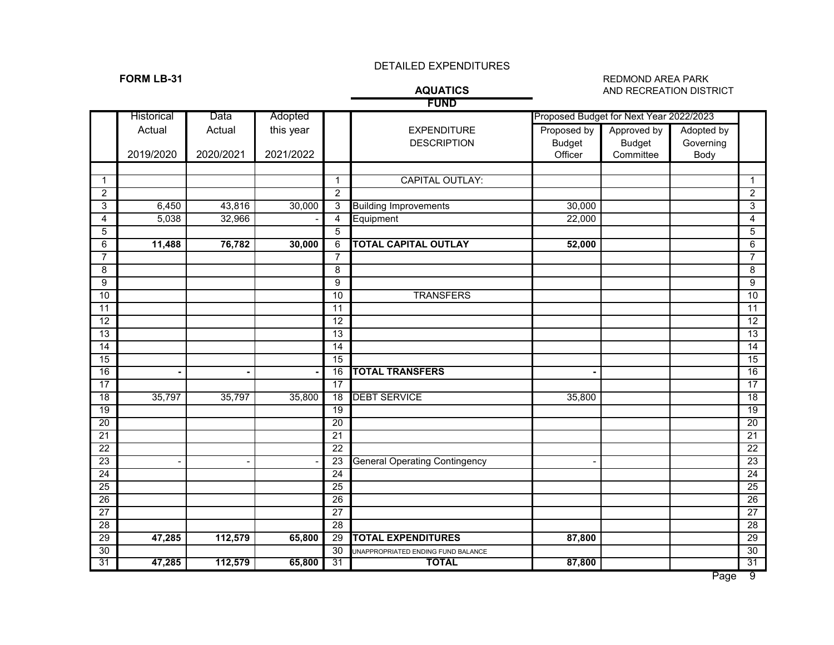# **FUND**

### **FORM LB-31** REDMOND AREA PARK<br>**AQUATICS** AND RECREATION DIST **AND RECREATION DISTRICT**

|                 |            |           |           |                 | .                                    |               |                                         |            |                 |
|-----------------|------------|-----------|-----------|-----------------|--------------------------------------|---------------|-----------------------------------------|------------|-----------------|
|                 | Historical | Data      | Adopted   |                 |                                      |               | Proposed Budget for Next Year 2022/2023 |            |                 |
|                 | Actual     | Actual    | this year |                 | <b>EXPENDITURE</b>                   | Proposed by   | Approved by                             | Adopted by |                 |
|                 |            |           |           |                 | <b>DESCRIPTION</b>                   | <b>Budget</b> | <b>Budget</b>                           | Governing  |                 |
|                 | 2019/2020  | 2020/2021 | 2021/2022 |                 |                                      | Officer       | Committee                               | Body       |                 |
|                 |            |           |           |                 |                                      |               |                                         |            |                 |
| $\mathbf{1}$    |            |           |           | $\mathbf{1}$    | <b>CAPITAL OUTLAY:</b>               |               |                                         |            | $\mathbf{1}$    |
| $\overline{2}$  |            |           |           | $\overline{2}$  |                                      |               |                                         |            | $\overline{2}$  |
| 3               | 6,450      | 43,816    | 30,000    | 3               | <b>Building Improvements</b>         | 30,000        |                                         |            | $\overline{3}$  |
| $\overline{4}$  | 5,038      | 32,966    |           | $\overline{4}$  | Equipment                            | 22,000        |                                         |            | $\overline{4}$  |
| 5               |            |           |           | 5               |                                      |               |                                         |            | $\overline{5}$  |
| $\,6$           | 11,488     | 76,782    | 30,000    | 6               | <b>TOTAL CAPITAL OUTLAY</b>          | 52,000        |                                         |            | $\overline{6}$  |
| $\overline{7}$  |            |           |           | $\overline{7}$  |                                      |               |                                         |            | 7               |
| 8               |            |           |           | 8               |                                      |               |                                         |            | $\overline{8}$  |
| 9               |            |           |           | 9               |                                      |               |                                         |            | $\overline{9}$  |
| 10              |            |           |           | 10              | <b>TRANSFERS</b>                     |               |                                         |            | 10              |
| 11              |            |           |           | 11              |                                      |               |                                         |            | 11              |
| $\overline{12}$ |            |           |           | $\overline{12}$ |                                      |               |                                         |            | 12              |
| 13              |            |           |           | $\overline{13}$ |                                      |               |                                         |            | 13              |
| $\overline{14}$ |            |           |           | 14              |                                      |               |                                         |            | 14              |
| $\overline{15}$ |            |           |           | $\overline{15}$ |                                      |               |                                         |            | 15              |
| 16              |            |           |           | 16              | <b>TOTAL TRANSFERS</b>               |               |                                         |            | 16              |
| 17              |            |           |           | 17              |                                      |               |                                         |            | 17              |
| 18              | 35,797     | 35,797    | 35,800    | 18              | <b>DEBT SERVICE</b>                  | 35,800        |                                         |            | $\overline{18}$ |
| 19              |            |           |           | 19              |                                      |               |                                         |            | 19              |
| 20              |            |           |           | 20              |                                      |               |                                         |            | 20              |
| 21              |            |           |           | $\overline{21}$ |                                      |               |                                         |            | 21              |
| $\overline{22}$ |            |           |           | $\overline{22}$ |                                      |               |                                         |            | 22              |
| 23              |            |           |           | 23              | <b>General Operating Contingency</b> |               |                                         |            | 23              |
| $\overline{24}$ |            |           |           | $\overline{24}$ |                                      |               |                                         |            | 24              |
| 25              |            |           |           | 25              |                                      |               |                                         |            | $\overline{25}$ |
| 26              |            |           |           | 26              |                                      |               |                                         |            | 26              |
| $\overline{27}$ |            |           |           | $\overline{27}$ |                                      |               |                                         |            | $\overline{27}$ |
| 28              |            |           |           | 28              |                                      |               |                                         |            | 28              |
| 29              | 47,285     | 112,579   | 65,800    | 29              | <b>TOTAL EXPENDITURES</b>            | 87,800        |                                         |            | 29              |
| $\overline{30}$ |            |           |           | 30              | UNAPPROPRIATED ENDING FUND BALANCE   |               |                                         |            | 30              |
| 31              | 47,285     | 112,579   | 65,800    | 31              | <b>TOTAL</b>                         | 87,800        |                                         |            | 31              |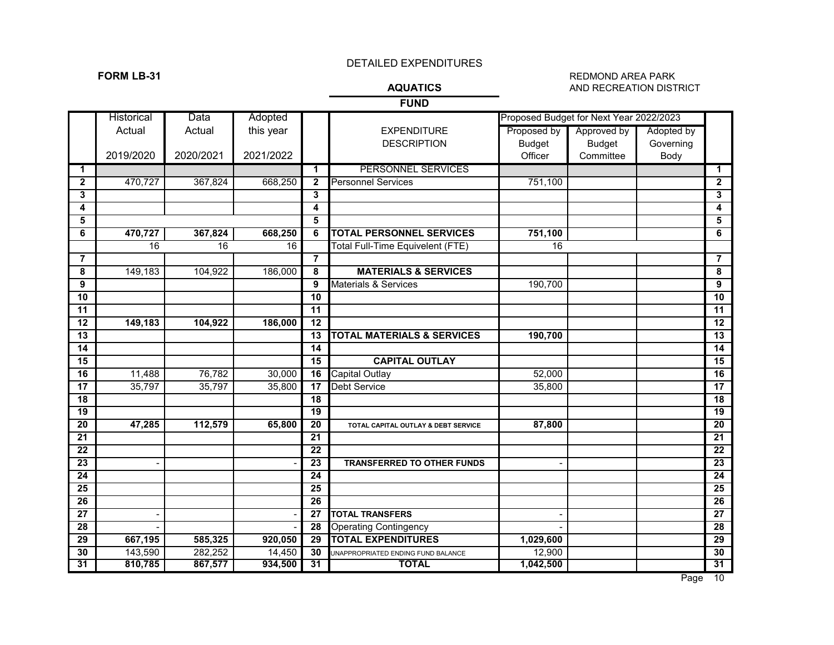### **FORM LB-31** REDMOND AREA PARK<br>**AQUATICS** AND RECREATION DISTI **AND RECREATION DISTRICT**

**FUND**

|                 | Historical      | Data            | Adopted   |                         |                                         |                 | Proposed Budget for Next Year 2022/2023 |            |                 |
|-----------------|-----------------|-----------------|-----------|-------------------------|-----------------------------------------|-----------------|-----------------------------------------|------------|-----------------|
|                 | Actual          | Actual          | this year |                         | <b>EXPENDITURE</b>                      | Proposed by     | Approved by                             | Adopted by |                 |
|                 |                 |                 |           |                         | <b>DESCRIPTION</b>                      | <b>Budget</b>   | <b>Budget</b>                           | Governing  |                 |
|                 | 2019/2020       | 2020/2021       | 2021/2022 |                         |                                         | Officer         | Committee                               | Body       |                 |
| 1               |                 |                 |           | $\mathbf 1$             | PERSONNEL SERVICES                      |                 |                                         |            | 1               |
| $\mathbf{2}$    | 470,727         | 367,824         | 668,250   | $\overline{2}$          | <b>Personnel Services</b>               | 751,100         |                                         |            | $\mathbf{2}$    |
| 3               |                 |                 |           | $\mathbf{3}$            |                                         |                 |                                         |            | 3               |
| 4               |                 |                 |           | $\overline{\mathbf{4}}$ |                                         |                 |                                         |            | 4               |
| 5               |                 |                 |           | 5                       |                                         |                 |                                         |            | 5               |
| 6               | 470,727         | 367,824         | 668,250   | 6                       | <b>TOTAL PERSONNEL SERVICES</b>         | 751,100         |                                         |            | 6               |
|                 | $\overline{16}$ | $\overline{16}$ | 16        |                         | <b>Total Full-Time Equivelent (FTE)</b> | $\overline{16}$ |                                         |            |                 |
| 7               |                 |                 |           | $\overline{7}$          |                                         |                 |                                         |            | 7               |
| 8               | 149,183         | 104,922         | 186,000   | 8                       | <b>MATERIALS &amp; SERVICES</b>         |                 |                                         |            | 8               |
| 9               |                 |                 |           | 9                       | <b>Materials &amp; Services</b>         | 190,700         |                                         |            | 9               |
| 10              |                 |                 |           | 10                      |                                         |                 |                                         |            | 10              |
| 11              |                 |                 |           | $\overline{11}$         |                                         |                 |                                         |            | 11              |
| 12              | 149,183         | 104,922         | 186,000   | 12                      |                                         |                 |                                         |            | $\overline{12}$ |
| 13              |                 |                 |           | 13                      | <b>TOTAL MATERIALS &amp; SERVICES</b>   | 190,700         |                                         |            | $\overline{13}$ |
| $\overline{14}$ |                 |                 |           | 14                      |                                         |                 |                                         |            | 14              |
| 15              |                 |                 |           | 15                      | <b>CAPITAL OUTLAY</b>                   |                 |                                         |            | 15              |
| $\overline{16}$ | 11,488          | 76,782          | 30,000    | 16                      | <b>Capital Outlay</b>                   | 52,000          |                                         |            | 16              |
| 17              | 35,797          | 35,797          | 35,800    | 17                      | <b>Debt Service</b>                     | 35,800          |                                         |            | $\overline{17}$ |
| $\overline{18}$ |                 |                 |           | 18                      |                                         |                 |                                         |            | 18              |
| 19              |                 |                 |           | 19                      |                                         |                 |                                         |            | 19              |
| 20              | 47,285          | 112,579         | 65,800    | 20                      | TOTAL CAPITAL OUTLAY & DEBT SERVICE     | 87,800          |                                         |            | 20              |
| 21              |                 |                 |           | 21                      |                                         |                 |                                         |            | 21              |
| $\overline{22}$ |                 |                 |           | 22                      |                                         |                 |                                         |            | 22              |
| $\overline{23}$ |                 |                 |           | 23                      | <b>TRANSFERRED TO OTHER FUNDS</b>       |                 |                                         |            | $\overline{23}$ |
| 24              |                 |                 |           | 24                      |                                         |                 |                                         |            | 24              |
| 25              |                 |                 |           | 25                      |                                         |                 |                                         |            | 25              |
| 26              |                 |                 |           | 26                      |                                         |                 |                                         |            | $\overline{26}$ |
| 27              |                 |                 |           | 27                      | <b>TOTAL TRANSFERS</b>                  |                 |                                         |            | 27              |
| 28              |                 |                 |           | $\overline{28}$         | <b>Operating Contingency</b>            |                 |                                         |            | $\overline{28}$ |
| 29              | 667,195         | 585,325         | 920,050   | 29                      | <b>TOTAL EXPENDITURES</b>               | 1,029,600       |                                         |            | 29              |
| 30              | 143,590         | 282,252         | 14,450    | 30                      | UNAPPROPRIATED ENDING FUND BALANCE      | 12,900          |                                         |            | 30              |
| 31              | 810,785         | 867,577         | 934,500   | 31                      | <b>TOTAL</b>                            | 1,042,500       |                                         |            | 31              |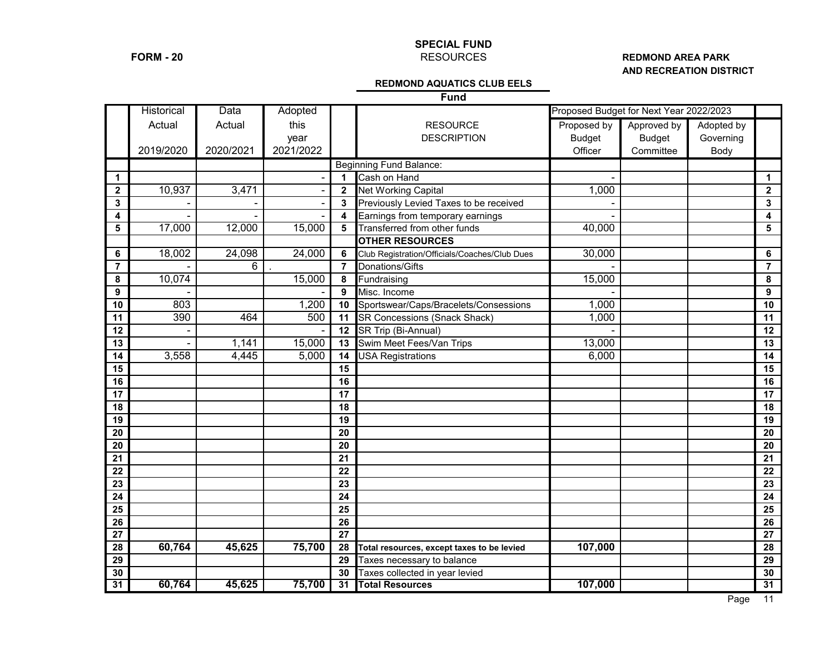# **SPECIAL FUND**

### **FORM - 20** RESOURCES RESOURCES **AND RECREATION DISTRICT**

### **REDMOND AQUATICS CLUB EELS**

**Fund**

|                         | <b>Historical</b> | Data      | Adopted   |                         |                                               | Proposed Budget for Next Year 2022/2023 |               |            |                |
|-------------------------|-------------------|-----------|-----------|-------------------------|-----------------------------------------------|-----------------------------------------|---------------|------------|----------------|
|                         | Actual            | Actual    | this      |                         | <b>RESOURCE</b>                               | Proposed by                             | Approved by   | Adopted by |                |
|                         |                   |           | year      |                         | <b>DESCRIPTION</b>                            | <b>Budget</b>                           | <b>Budget</b> | Governing  |                |
|                         | 2019/2020         | 2020/2021 | 2021/2022 |                         |                                               | Officer                                 | Committee     | Body       |                |
|                         |                   |           |           |                         | <b>Beginning Fund Balance:</b>                |                                         |               |            |                |
| $\mathbf 1$             |                   |           |           | $\blacktriangleleft$    | Cash on Hand                                  |                                         |               |            | $\mathbf{1}$   |
| $\overline{\mathbf{2}}$ | 10,937            | 3,471     |           | $\overline{\mathbf{2}}$ | <b>Net Working Capital</b>                    | 1,000                                   |               |            | $\mathbf{2}$   |
| 3                       |                   |           |           | 3                       | Previously Levied Taxes to be received        |                                         |               |            | $\mathbf{3}$   |
| 4                       |                   |           |           | 4                       | Earnings from temporary earnings              |                                         |               |            | 4              |
| 5                       | 17,000            | 12,000    | 15,000    | 5                       | Transferred from other funds                  | 40,000                                  |               |            | 5              |
|                         |                   |           |           |                         | <b>OTHER RESOURCES</b>                        |                                         |               |            |                |
| 6                       | 18,002            | 24,098    | 24,000    | 6                       | Club Registration/Officials/Coaches/Club Dues | 30,000                                  |               |            | 6              |
| $\overline{7}$          |                   | 6         |           | $\overline{7}$          | Donations/Gifts                               |                                         |               |            | $\overline{7}$ |
| 8                       | 10,074            |           | 15,000    | 8                       | Fundraising                                   | 15,000                                  |               |            | 8              |
| 9                       |                   |           |           | 9                       | Misc. Income                                  |                                         |               |            | 9              |
| 10                      | 803               |           | 1,200     | 10                      | Sportswear/Caps/Bracelets/Consessions         | 1,000                                   |               |            | 10             |
| 11                      | 390               | 464       | 500       | 11                      | SR Concessions (Snack Shack)                  | 1,000                                   |               |            | 11             |
| 12                      |                   |           |           | $\overline{12}$         | SR Trip (Bi-Annual)                           |                                         |               |            | 12             |
| 13                      |                   | 1,141     | 15,000    | 13                      | Swim Meet Fees/Van Trips                      | 13,000                                  |               |            | 13             |
| 14                      | 3,558             | 4,445     | 5,000     | $\overline{14}$         | <b>USA Registrations</b>                      | 6,000                                   |               |            | 14             |
| 15                      |                   |           |           | 15                      |                                               |                                         |               |            | 15             |
| 16                      |                   |           |           | 16                      |                                               |                                         |               |            | 16             |
| 17                      |                   |           |           | 17                      |                                               |                                         |               |            | 17             |
| 18                      |                   |           |           | 18                      |                                               |                                         |               |            | 18             |
| 19                      |                   |           |           | 19                      |                                               |                                         |               |            | 19             |
| 20                      |                   |           |           | 20                      |                                               |                                         |               |            | 20             |
| 20                      |                   |           |           | 20                      |                                               |                                         |               |            | 20             |
| 21                      |                   |           |           | 21                      |                                               |                                         |               |            | 21             |
| 22                      |                   |           |           | $\overline{22}$         |                                               |                                         |               |            | 22             |
| $\overline{23}$         |                   |           |           | $\overline{23}$         |                                               |                                         |               |            | 23             |
| 24                      |                   |           |           | 24                      |                                               |                                         |               |            | 24             |
| $\overline{25}$         |                   |           |           | $\overline{25}$         |                                               |                                         |               |            | 25             |
| 26                      |                   |           |           | 26                      |                                               |                                         |               |            | 26             |
| 27                      |                   |           |           | $\overline{27}$         |                                               |                                         |               |            | 27             |
| 28                      | 60,764            | 45,625    | 75,700    | 28                      | Total resources, except taxes to be levied    | 107,000                                 |               |            | 28             |
| $\overline{29}$         |                   |           |           | 29                      | Taxes necessary to balance                    |                                         |               |            | 29             |
| 30                      |                   |           |           | 30                      | Taxes collected in year levied                |                                         |               |            | 30             |
| 31                      | 60,764            | 45,625    | 75,700    | $\overline{31}$         | <b>Total Resources</b>                        | 107,000                                 |               |            | 31             |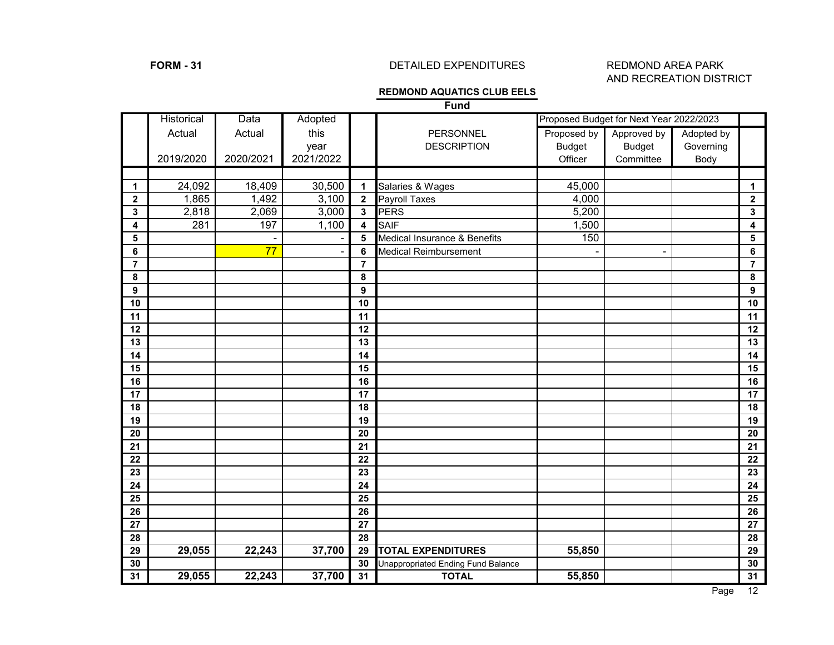# **FORM - 31** DETAILED EXPENDITURES REDMOND AREA PARK

# AND RECREATION DISTRICT

# **REDMOND AQUATICS CLUB EELS**

**Fund**

|                  | Historical | Data            | Adopted   |                |                                           |               | Proposed Budget for Next Year 2022/2023 |            |             |
|------------------|------------|-----------------|-----------|----------------|-------------------------------------------|---------------|-----------------------------------------|------------|-------------|
|                  | Actual     | Actual          | this      |                | PERSONNEL                                 | Proposed by   | Approved by                             | Adopted by |             |
|                  |            |                 | year      |                | <b>DESCRIPTION</b>                        | <b>Budget</b> | <b>Budget</b>                           | Governing  |             |
|                  | 2019/2020  | 2020/2021       | 2021/2022 |                |                                           | Officer       | Committee                               | Body       |             |
|                  |            |                 |           |                |                                           |               |                                         |            |             |
| 1                | 24,092     | 18,409          | 30,500    | $\mathbf 1$    | Salaries & Wages                          | 45,000        |                                         |            | 1           |
| $\boldsymbol{2}$ | 1,865      | 1,492           | 3,100     | $\mathbf{2}$   | Payroll Taxes                             | 4,000         |                                         |            | $\mathbf 2$ |
| 3                | 2,818      | 2,069           | 3,000     | $\mathbf{3}$   | <b>PERS</b>                               | 5,200         |                                         |            | 3           |
| 4                | 281        | 197             | 1,100     | 4              | <b>SAIF</b>                               | 1,500         |                                         |            | 4           |
| 5                |            |                 |           | $5\phantom{1}$ | Medical Insurance & Benefits              | 150           |                                         |            | 5           |
| 6                |            | $\overline{77}$ |           | 6              | <b>Medical Reimbursement</b>              |               |                                         |            | 6           |
| $\overline{7}$   |            |                 |           | $\overline{7}$ |                                           |               |                                         |            | 7           |
| 8                |            |                 |           | 8              |                                           |               |                                         |            | 8           |
| 9                |            |                 |           | 9              |                                           |               |                                         |            | 9           |
| 10               |            |                 |           | 10             |                                           |               |                                         |            | 10          |
| 11               |            |                 |           | 11             |                                           |               |                                         |            | 11          |
| 12               |            |                 |           | 12             |                                           |               |                                         |            | 12          |
| 13               |            |                 |           | 13             |                                           |               |                                         |            | 13          |
| 14               |            |                 |           | 14             |                                           |               |                                         |            | 14          |
| 15               |            |                 |           | 15             |                                           |               |                                         |            | 15          |
| 16               |            |                 |           | 16             |                                           |               |                                         |            | 16          |
| 17               |            |                 |           | 17             |                                           |               |                                         |            | 17          |
| 18               |            |                 |           | 18             |                                           |               |                                         |            | 18          |
| 19               |            |                 |           | 19             |                                           |               |                                         |            | 19          |
| 20               |            |                 |           | 20             |                                           |               |                                         |            | 20          |
| 21               |            |                 |           | 21             |                                           |               |                                         |            | 21          |
| 22               |            |                 |           | 22             |                                           |               |                                         |            | 22          |
| 23               |            |                 |           | 23             |                                           |               |                                         |            | 23          |
| 24               |            |                 |           | 24             |                                           |               |                                         |            | 24          |
| 25               |            |                 |           | 25             |                                           |               |                                         |            | 25          |
| 26               |            |                 |           | 26             |                                           |               |                                         |            | 26          |
| 27               |            |                 |           | 27             |                                           |               |                                         |            | 27          |
| 28               |            |                 |           | 28             |                                           |               |                                         |            | 28          |
| 29               | 29,055     | 22,243          | 37,700    | 29             | <b>TOTAL EXPENDITURES</b>                 | 55,850        |                                         |            | 29          |
| 30               |            |                 |           | 30             | <b>Unappropriated Ending Fund Balance</b> |               |                                         |            | 30          |
| 31               | 29,055     | 22,243          | 37,700    | 31             | <b>TOTAL</b>                              | 55,850        |                                         |            | 31          |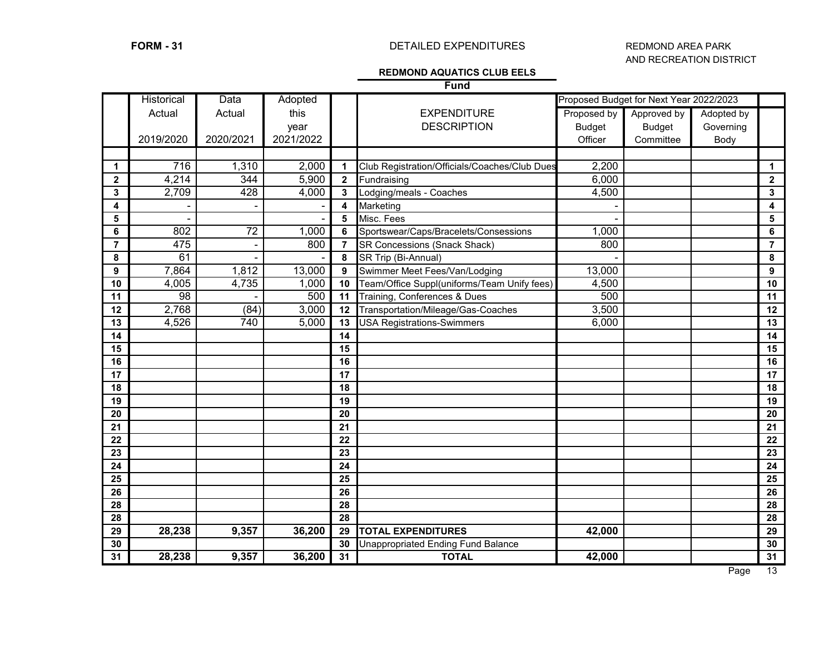# **FORM - 31** DETAILED EXPENDITURES REDMOND AREA PARK

# AND RECREATION DISTRICT

### **REDMOND AQUATICS CLUB EELS**

**Fund**

|                 | Historical | Data      | Adopted   |                         |                                               |               | Proposed Budget for Next Year 2022/2023 |            |                         |
|-----------------|------------|-----------|-----------|-------------------------|-----------------------------------------------|---------------|-----------------------------------------|------------|-------------------------|
|                 | Actual     | Actual    | this      |                         | <b>EXPENDITURE</b>                            | Proposed by   | Approved by                             | Adopted by |                         |
|                 |            |           | year      |                         | <b>DESCRIPTION</b>                            | <b>Budget</b> | <b>Budget</b>                           | Governing  |                         |
|                 | 2019/2020  | 2020/2021 | 2021/2022 |                         |                                               | Officer       | Committee                               | Body       |                         |
|                 |            |           |           |                         |                                               |               |                                         |            |                         |
| $\mathbf 1$     | 716        | 1,310     | 2,000     | $\mathbf{1}$            | Club Registration/Officials/Coaches/Club Dues | 2,200         |                                         |            | $\mathbf 1$             |
| $\mathbf{2}$    | 4,214      | 344       | 5,900     | $\overline{\mathbf{2}}$ | Fundraising                                   | 6,000         |                                         |            | $\mathbf{2}$            |
| 3               | 2,709      | 428       | 4,000     | $\mathbf{3}$            | Lodging/meals - Coaches                       | 4,500         |                                         |            | $\overline{\mathbf{3}}$ |
| 4               |            |           |           | 4                       | Marketing                                     |               |                                         |            | $\overline{\mathbf{4}}$ |
| 5               |            |           |           | 5                       | Misc. Fees                                    |               |                                         |            | $\overline{\mathbf{5}}$ |
| 6               | 802        | 72        | 1,000     | 6                       | Sportswear/Caps/Bracelets/Consessions         | 1,000         |                                         |            | $\bf 6$                 |
| $\overline{7}$  | 475        |           | 800       | $\overline{7}$          | <b>SR Concessions (Snack Shack)</b>           | 800           |                                         |            | $\overline{7}$          |
| 8               | 61         |           |           | 8                       | SR Trip (Bi-Annual)                           |               |                                         |            | 8                       |
| 9               | 7,864      | 1,812     | 13,000    | 9                       | Swimmer Meet Fees/Van/Lodging                 | 13,000        |                                         |            | $\mathbf{9}$            |
| 10              | 4,005      | 4,735     | 1,000     | 10                      | Team/Office Suppl(uniforms/Team Unify fees)   | 4,500         |                                         |            | 10                      |
| 11              | 98         |           | 500       | 11                      | Training, Conferences & Dues                  | 500           |                                         |            | 11                      |
| 12              | 2,768      | (84)      | 3,000     | 12                      | Transportation/Mileage/Gas-Coaches            | 3,500         |                                         |            | 12                      |
| 13              | 4,526      | 740       | 5,000     | 13                      | <b>USA Registrations-Swimmers</b>             | 6,000         |                                         |            | 13                      |
| 14              |            |           |           | 14                      |                                               |               |                                         |            | 14                      |
| 15              |            |           |           | 15                      |                                               |               |                                         |            | 15                      |
| 16              |            |           |           | 16                      |                                               |               |                                         |            | 16                      |
| 17              |            |           |           | 17                      |                                               |               |                                         |            | 17                      |
| 18              |            |           |           | 18                      |                                               |               |                                         |            | 18                      |
| 19              |            |           |           | 19                      |                                               |               |                                         |            | 19                      |
| 20              |            |           |           | 20                      |                                               |               |                                         |            | $\overline{20}$         |
| $\overline{21}$ |            |           |           | 21                      |                                               |               |                                         |            | 21                      |
| 22              |            |           |           | 22                      |                                               |               |                                         |            | 22                      |
| 23              |            |           |           | 23                      |                                               |               |                                         |            | 23                      |
| 24              |            |           |           | 24                      |                                               |               |                                         |            | 24                      |
| 25              |            |           |           | 25                      |                                               |               |                                         |            | 25                      |
| 26              |            |           |           | 26                      |                                               |               |                                         |            | $\overline{26}$         |
| 28              |            |           |           | 28                      |                                               |               |                                         |            | 28                      |
| 28              |            |           |           | 28                      |                                               |               |                                         |            | 28                      |
| 29              | 28,238     | 9,357     | 36,200    | 29                      | <b>TOTAL EXPENDITURES</b>                     | 42,000        |                                         |            | 29                      |
| 30              |            |           |           | 30                      | Unappropriated Ending Fund Balance            |               |                                         |            | 30                      |
| 31              | 28,238     | 9,357     | 36,200    | $\overline{31}$         | <b>TOTAL</b>                                  | 42,000        |                                         |            | 31                      |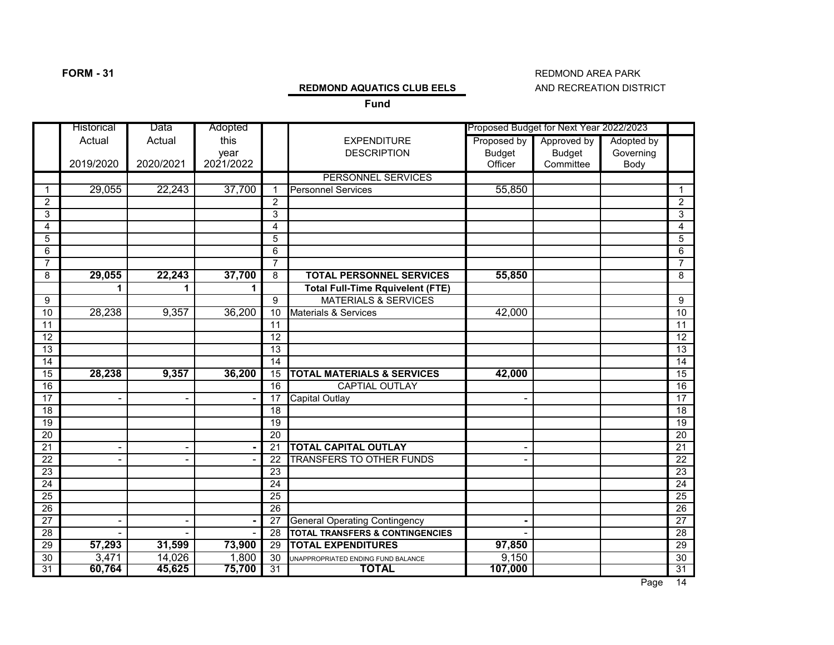# **FORM - 31** REDMOND AREA PARK

### **REDMOND AQUATICS CLUB EELS** AND RECREATION DISTRICT

**Fund**

|                 | Historical     | Data           | Adopted   |                 |                                            |               | Proposed Budget for Next Year 2022/2023 |            |                 |
|-----------------|----------------|----------------|-----------|-----------------|--------------------------------------------|---------------|-----------------------------------------|------------|-----------------|
|                 | Actual         | Actual         | this      |                 | <b>EXPENDITURE</b>                         | Proposed by   | Approved by                             | Adopted by |                 |
|                 |                |                | year      |                 | <b>DESCRIPTION</b>                         | <b>Budget</b> | <b>Budget</b>                           | Governing  |                 |
|                 | 2019/2020      | 2020/2021      | 2021/2022 |                 |                                            | Officer       | Committee                               | Body       |                 |
|                 |                |                |           |                 | PERSONNEL SERVICES                         |               |                                         |            |                 |
| $\overline{1}$  | 29,055         | 22,243         | 37,700    | $\overline{1}$  | <b>Personnel Services</b>                  | 55,850        |                                         |            | $\mathbf{1}$    |
| $\overline{2}$  |                |                |           | 2               |                                            |               |                                         |            | $\overline{2}$  |
| $\mathsf 3$     |                |                |           | 3               |                                            |               |                                         |            | 3               |
| 4               |                |                |           | 4               |                                            |               |                                         |            | 4               |
| 5               |                |                |           | 5               |                                            |               |                                         |            | $\overline{5}$  |
| 6               |                |                |           | 6               |                                            |               |                                         |            | 6               |
| $\overline{7}$  |                |                |           | $\overline{7}$  |                                            |               |                                         |            | $\overline{7}$  |
| 8               | 29,055         | 22,243         | 37,700    | 8               | <b>TOTAL PERSONNEL SERVICES</b>            | 55,850        |                                         |            | 8               |
|                 | 1              | 1              | 1         |                 | <b>Total Full-Time Rquivelent (FTE)</b>    |               |                                         |            |                 |
| 9               |                |                |           | 9               | <b>MATERIALS &amp; SERVICES</b>            |               |                                         |            | 9               |
| 10              | 28,238         | 9,357          | 36,200    | 10              | <b>Materials &amp; Services</b>            | 42,000        |                                         |            | 10              |
| $\overline{11}$ |                |                |           | 11              |                                            |               |                                         |            | 11              |
| $\overline{12}$ |                |                |           | $\overline{12}$ |                                            |               |                                         |            | 12              |
| $\overline{13}$ |                |                |           | $\overline{13}$ |                                            |               |                                         |            | $\overline{13}$ |
| 14              |                |                |           | 14              |                                            |               |                                         |            | $\overline{14}$ |
| $\overline{15}$ | 28,238         | 9,357          | 36,200    | 15              | <b>TOTAL MATERIALS &amp; SERVICES</b>      | 42,000        |                                         |            | 15              |
| 16              |                |                |           | $\overline{16}$ | <b>CAPTIAL OUTLAY</b>                      |               |                                         |            | 16              |
| $\overline{17}$ |                | $\blacksquare$ |           | 17              | <b>Capital Outlay</b>                      |               |                                         |            | $\overline{17}$ |
| $\overline{18}$ |                |                |           | 18              |                                            |               |                                         |            | $\overline{18}$ |
| 19              |                |                |           | 19              |                                            |               |                                         |            | $\overline{19}$ |
| $\overline{20}$ |                |                |           | 20              |                                            |               |                                         |            | $\overline{20}$ |
| $\overline{21}$ | $\blacksquare$ | $\blacksquare$ |           | 21              | <b>TOTAL CAPITAL OUTLAY</b>                |               |                                         |            | 21              |
| $\overline{22}$ |                |                |           | 22              | <b>TRANSFERS TO OTHER FUNDS</b>            |               |                                         |            | $\overline{22}$ |
| $\overline{23}$ |                |                |           | 23              |                                            |               |                                         |            | $\overline{23}$ |
| $\overline{24}$ |                |                |           | 24              |                                            |               |                                         |            | $\overline{24}$ |
| $\overline{25}$ |                |                |           | $\overline{25}$ |                                            |               |                                         |            | $\overline{25}$ |
| $\overline{26}$ |                |                |           | $\overline{26}$ |                                            |               |                                         |            | $\overline{26}$ |
| $\overline{27}$ | $\blacksquare$ | $\blacksquare$ |           | 27              | <b>General Operating Contingency</b>       |               |                                         |            | $\overline{27}$ |
| 28              |                |                |           | 28              | <b>TOTAL TRANSFERS &amp; CONTINGENCIES</b> |               |                                         |            | $\overline{28}$ |
| 29              | 57,293         | 31,599         | 73,900    | 29              | <b>TOTAL EXPENDITURES</b>                  | 97,850        |                                         |            | 29              |
| 30              | 3,471          | 14,026         | 1,800     | 30              | UNAPPROPRIATED ENDING FUND BALANCE         | 9,150         |                                         |            | 30              |
| 31              | 60,764         | 45,625         | 75,700    | $\overline{31}$ | <b>TOTAL</b>                               | 107,000       |                                         |            | 31              |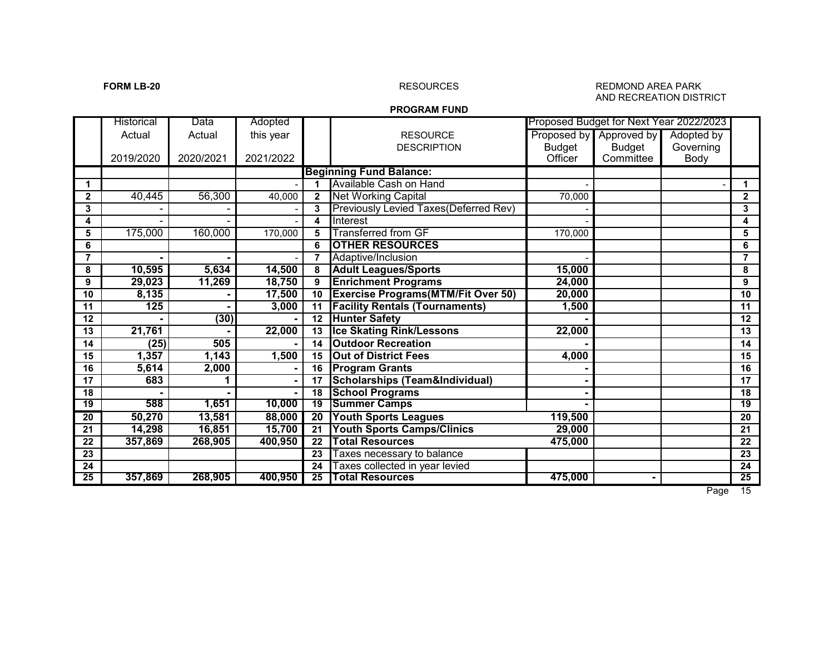### **FORM LB-20 RESOURCES** RESOURCES RESOURCES REDMOND AREA PARK AND RECREATION DISTRICT

### **PROGRAM FUND**

|                 | Historical | Data      | Adopted   |                 |                                            |               | Proposed Budget for Next Year 2022/2023 |            |                 |
|-----------------|------------|-----------|-----------|-----------------|--------------------------------------------|---------------|-----------------------------------------|------------|-----------------|
|                 | Actual     | Actual    | this year |                 | <b>RESOURCE</b>                            |               | Proposed by Approved by                 | Adopted by |                 |
|                 |            |           |           |                 | <b>DESCRIPTION</b>                         | <b>Budget</b> | Budget                                  | Governing  |                 |
|                 | 2019/2020  | 2020/2021 | 2021/2022 |                 |                                            | Officer       | Committee                               | Body       |                 |
|                 |            |           |           |                 | <b>Beginning Fund Balance:</b>             |               |                                         |            |                 |
| 1               |            |           |           |                 | Available Cash on Hand                     |               |                                         |            | 1               |
| $\mathbf{2}$    | 40,445     | 56,300    | 40,000    | $\mathbf{2}$    | Net Working Capital                        | 70,000        |                                         |            | $\mathbf{2}$    |
| 3               |            |           |           | 3               | Previously Levied Taxes(Deferred Rev)      |               |                                         |            | 3               |
| 4               |            |           |           | 4               | Interest                                   |               |                                         |            | 4               |
| 5               | 175,000    | 160,000   | 170,000   | 5               | <b>Transferred from GF</b>                 | 170,000       |                                         |            | 5               |
| 6               |            |           |           | 6               | <b>OTHER RESOURCES</b>                     |               |                                         |            | 6               |
| 7               |            |           |           | $\overline{7}$  | Adaptive/Inclusion                         |               |                                         |            | $\overline{7}$  |
| 8               | 10,595     | 5,634     | 14,500    | 8               | <b>Adult Leagues/Sports</b>                | 15,000        |                                         |            | 8               |
| 9               | 29,023     | 11,269    | 18,750    | 9               | <b>Enrichment Programs</b>                 | 24,000        |                                         |            | 9               |
| 10              | 8,135      |           | 17,500    | 10              | <b>Exercise Programs (MTM/Fit Over 50)</b> | 20,000        |                                         |            | 10              |
| 11              | 125        |           | 3,000     | 11              | <b>Facility Rentals (Tournaments)</b>      | 1,500         |                                         |            | 11              |
| 12              |            | (30)      |           | 12              | <b>Hunter Safety</b>                       |               |                                         |            | 12              |
| 13              | 21,761     |           | 22,000    | 13              | <b>Ice Skating Rink/Lessons</b>            | 22,000        |                                         |            | 13              |
| 14              | (25)       | 505       |           | 14              | <b>Outdoor Recreation</b>                  |               |                                         |            | 14              |
| 15              | 1,357      | 1,143     | 1,500     | 15              | <b>Out of District Fees</b>                | 4,000         |                                         |            | 15              |
| 16              | 5,614      | 2,000     |           | 16              | <b>Program Grants</b>                      |               |                                         |            | 16              |
| 17              | 683        |           |           | 17              | <b>Scholarships (Team&amp;Individual)</b>  |               |                                         |            | 17              |
| 18              |            |           |           | $\overline{18}$ | <b>School Programs</b>                     |               |                                         |            | 18              |
| 19              | 588        | 1,651     | 10,000    | $\overline{19}$ | <b>Summer Camps</b>                        |               |                                         |            | $\overline{19}$ |
| $\overline{20}$ | 50,270     | 13,581    | 88,000    | $\overline{20}$ | <b>Youth Sports Leagues</b>                | 119,500       |                                         |            | 20              |
| 21              | 14,298     | 16,851    | 15,700    | 21              | <b>Youth Sports Camps/Clinics</b>          | 29,000        |                                         |            | 21              |
| 22              | 357,869    | 268,905   | 400,950   | $\overline{22}$ | <b>Total Resources</b>                     | 475,000       |                                         |            | 22              |
| 23              |            |           |           | 23              | Taxes necessary to balance                 |               |                                         |            | 23              |
| 24              |            |           |           | 24              | Taxes collected in year levied             |               |                                         |            | 24              |
| 25              | 357,869    | 268,905   | 400,950   | $\overline{25}$ | <b>Total Resources</b>                     | 475,000       |                                         |            | 25              |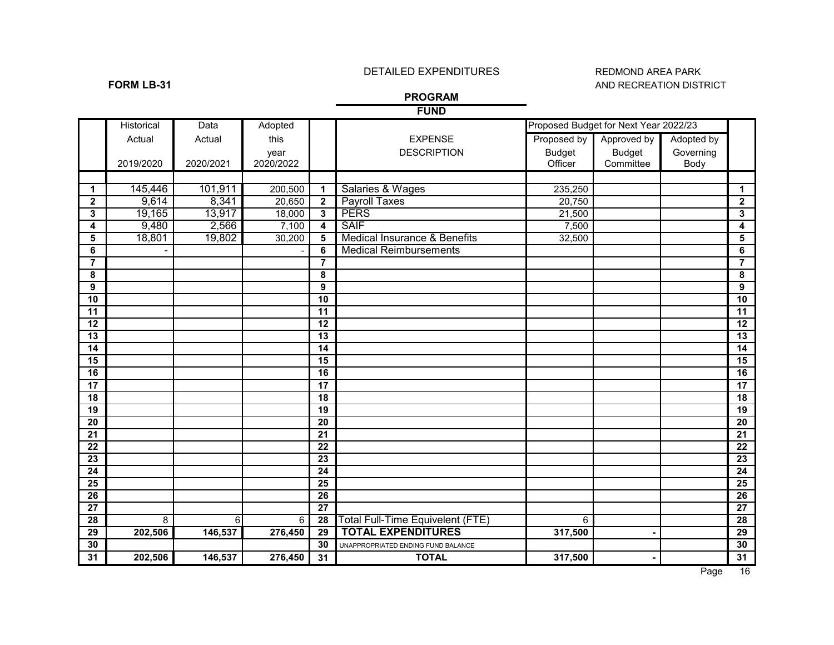## DETAILED EXPENDITURES REDMOND AREA PARK

# **FORM LB-31** AND RECREATION DISTRICT

### **PROGRAM FUND**

|                         |            |           |           |                         | שויט ו                                  |               |                                       |            |                         |
|-------------------------|------------|-----------|-----------|-------------------------|-----------------------------------------|---------------|---------------------------------------|------------|-------------------------|
|                         | Historical | Data      | Adopted   |                         |                                         |               | Proposed Budget for Next Year 2022/23 |            |                         |
|                         | Actual     | Actual    | this      |                         | <b>EXPENSE</b>                          | Proposed by   | Approved by                           | Adopted by |                         |
|                         |            |           | year      |                         | <b>DESCRIPTION</b>                      | <b>Budget</b> | <b>Budget</b>                         | Governing  |                         |
|                         | 2019/2020  | 2020/2021 | 2020/2022 |                         |                                         | Officer       | Committee                             | Body       |                         |
|                         |            |           |           |                         |                                         |               |                                       |            |                         |
| $\mathbf{1}$            | 145,446    | 101,911   | 200,500   | $\mathbf{1}$            | Salaries & Wages                        | 235,250       |                                       |            | $\mathbf{1}$            |
| $\mathbf 2$             | 9,614      | 8,341     | 20,650    | $\overline{2}$          | <b>Payroll Taxes</b>                    | 20,750        |                                       |            | $\overline{2}$          |
| 3                       | 19,165     | 13,917    | 18,000    | $\overline{\mathbf{3}}$ | <b>PERS</b>                             | 21,500        |                                       |            | 3                       |
| 4                       | 9,480      | 2,566     | 7,100     | $\overline{\mathbf{4}}$ | <b>SAIF</b>                             | 7,500         |                                       |            | $\overline{\mathbf{4}}$ |
| 5                       | 18,801     | 19,802    | 30,200    | 5                       | <b>Medical Insurance &amp; Benefits</b> | 32,500        |                                       |            | $\overline{\mathbf{5}}$ |
| 6                       |            |           |           | 6                       | <b>Medical Reimbursements</b>           |               |                                       |            | 6                       |
| $\overline{\mathbf{7}}$ |            |           |           | $\overline{7}$          |                                         |               |                                       |            | $\overline{7}$          |
| 8                       |            |           |           | 8                       |                                         |               |                                       |            | 8                       |
| 9                       |            |           |           | $\overline{9}$          |                                         |               |                                       |            | 9                       |
| 10                      |            |           |           | 10                      |                                         |               |                                       |            | 10                      |
| 11                      |            |           |           | 11                      |                                         |               |                                       |            | $\overline{11}$         |
| $\overline{12}$         |            |           |           | 12                      |                                         |               |                                       |            | $\overline{12}$         |
| $\overline{13}$         |            |           |           | 13                      |                                         |               |                                       |            | $\overline{13}$         |
| 14                      |            |           |           | 14                      |                                         |               |                                       |            | 14                      |
| 15                      |            |           |           | $\overline{15}$         |                                         |               |                                       |            | 15                      |
| 16                      |            |           |           | 16                      |                                         |               |                                       |            | 16                      |
| 17                      |            |           |           | 17                      |                                         |               |                                       |            | $\overline{17}$         |
| 18                      |            |           |           | 18                      |                                         |               |                                       |            | $\overline{18}$         |
| 19                      |            |           |           | 19                      |                                         |               |                                       |            | $\overline{19}$         |
| $\overline{20}$         |            |           |           | $\overline{20}$         |                                         |               |                                       |            | $\overline{20}$         |
| 21                      |            |           |           | $\overline{21}$         |                                         |               |                                       |            | $\overline{21}$         |
| $\overline{22}$         |            |           |           | $\overline{22}$         |                                         |               |                                       |            | 22                      |
| 23                      |            |           |           | 23                      |                                         |               |                                       |            | 23                      |
| 24                      |            |           |           | 24                      |                                         |               |                                       |            | 24                      |
| $\overline{25}$         |            |           |           | 25                      |                                         |               |                                       |            | 25                      |
| $\overline{26}$         |            |           |           | 26                      |                                         |               |                                       |            | 26                      |
| $\overline{27}$         |            |           |           | $\overline{27}$         |                                         |               |                                       |            | $\overline{27}$         |
| $\overline{28}$         | 8          | 6         | 6         | 28                      | Total Full-Time Equivelent (FTE)        | 6             |                                       |            | 28                      |
| $\overline{29}$         | 202,506    | 146,537   | 276,450   | $\overline{29}$         | <b>TOTAL EXPENDITURES</b>               | 317,500       |                                       |            | 29                      |
| 30                      |            |           |           | 30                      | UNAPPROPRIATED ENDING FUND BALANCE      |               |                                       |            | 30                      |
| 31                      | 202,506    | 146,537   | 276,450   | 31                      | <b>TOTAL</b>                            | 317,500       |                                       |            | 31                      |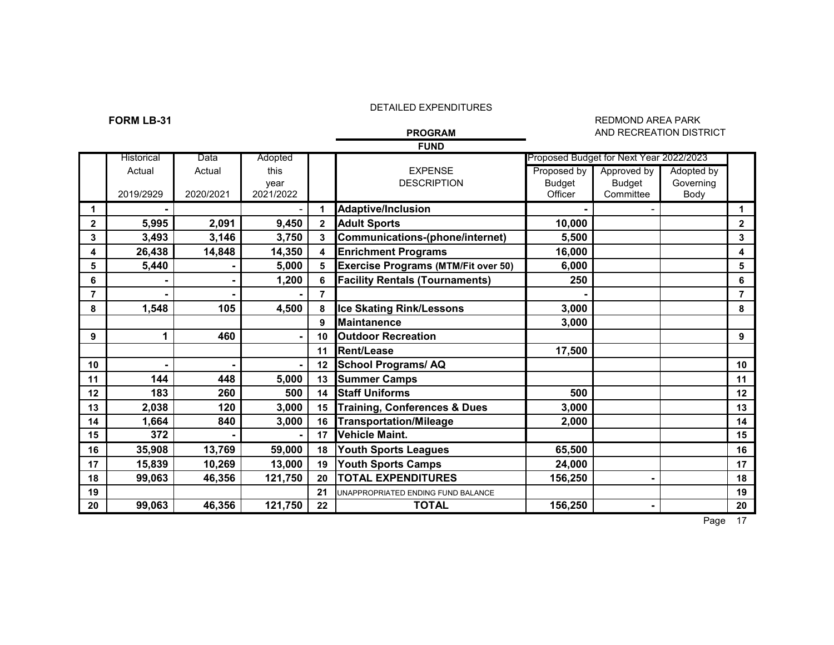### **FORM LB-31** REDMOND AREA PARK REDMOND AREA PARK REDMOND AREA PARK REDMOND AREA PARK **AND RECREATION DISTRICT**

|                | <b>FUND</b> |           |                |              |                                            |               |                                         |            |                |  |  |  |
|----------------|-------------|-----------|----------------|--------------|--------------------------------------------|---------------|-----------------------------------------|------------|----------------|--|--|--|
|                | Historical  | Data      | Adopted        |              |                                            |               | Proposed Budget for Next Year 2022/2023 |            |                |  |  |  |
|                | Actual      | Actual    | this           |              | <b>EXPENSE</b>                             | Proposed by   | Approved by                             | Adopted by |                |  |  |  |
|                |             |           | year           |              | <b>DESCRIPTION</b>                         | <b>Budget</b> | <b>Budget</b>                           | Governing  |                |  |  |  |
|                | 2019/2929   | 2020/2021 | 2021/2022      |              |                                            | Officer       | Committee                               | Body       |                |  |  |  |
| 1              |             |           |                |              | <b>Adaptive/Inclusion</b>                  |               |                                         |            | 1              |  |  |  |
| $\mathbf{2}$   | 5,995       | 2,091     | 9,450          | $\mathbf{2}$ | <b>Adult Sports</b>                        | 10,000        |                                         |            | $\mathbf{2}$   |  |  |  |
| 3              | 3,493       | 3,146     | 3,750          | 3            | Communications-(phone/internet)            | 5,500         |                                         |            | 3              |  |  |  |
| 4              | 26,438      | 14,848    | 14,350         | 4            | <b>Enrichment Programs</b>                 | 16,000        |                                         |            | 4              |  |  |  |
| 5              | 5,440       |           | 5,000          |              | <b>Exercise Programs (MTM/Fit over 50)</b> | 6,000         |                                         |            | 5              |  |  |  |
| 6              |             |           | 1,200          | 6            | <b>Facility Rentals (Tournaments)</b>      | 250           |                                         |            | 6              |  |  |  |
| $\overline{7}$ |             |           |                | 7            |                                            |               |                                         |            | $\overline{7}$ |  |  |  |
| 8              | 1,548       | 105       | 4,500          | 8            | <b>Ice Skating Rink/Lessons</b>            | 3,000         |                                         |            | 8              |  |  |  |
|                |             |           |                | 9            | <b>Maintanence</b>                         | 3,000         |                                         |            |                |  |  |  |
| 9              | 1           | 460       | $\blacksquare$ | 10           | <b>Outdoor Recreation</b>                  |               |                                         |            | 9              |  |  |  |
|                |             |           |                | 11           | Rent/Lease                                 | 17,500        |                                         |            |                |  |  |  |
| 10             |             |           |                | 12           | <b>School Programs/AQ</b>                  |               |                                         |            | 10             |  |  |  |
| 11             | 144         | 448       | 5,000          | 13           | <b>Summer Camps</b>                        |               |                                         |            | 11             |  |  |  |
| 12             | 183         | 260       | 500            | 14           | <b>Staff Uniforms</b>                      | 500           |                                         |            | 12             |  |  |  |
| 13             | 2,038       | 120       | 3,000          | 15           | <b>Training, Conferences &amp; Dues</b>    | 3,000         |                                         |            | 13             |  |  |  |
| 14             | 1,664       | 840       | 3,000          | 16           | <b>Transportation/Mileage</b>              | 2,000         |                                         |            | 14             |  |  |  |
| 15             | 372         |           |                | 17           | <b>Vehicle Maint.</b>                      |               |                                         |            | 15             |  |  |  |
| 16             | 35,908      | 13,769    | 59,000         | 18           | <b>Youth Sports Leagues</b>                | 65,500        |                                         |            | 16             |  |  |  |
| 17             | 15,839      | 10,269    | 13,000         | 19           | <b>Youth Sports Camps</b>                  | 24,000        |                                         |            | 17             |  |  |  |
| 18             | 99,063      | 46,356    | 121,750        | 20           | <b>TOTAL EXPENDITURES</b>                  | 156,250       |                                         |            | 18             |  |  |  |
| 19             |             |           |                | 21           | UNAPPROPRIATED ENDING FUND BALANCE         |               |                                         |            | 19             |  |  |  |
| 20             | 99,063      | 46,356    | 121,750        | 22           | <b>TOTAL</b>                               | 156,250       |                                         |            | 20             |  |  |  |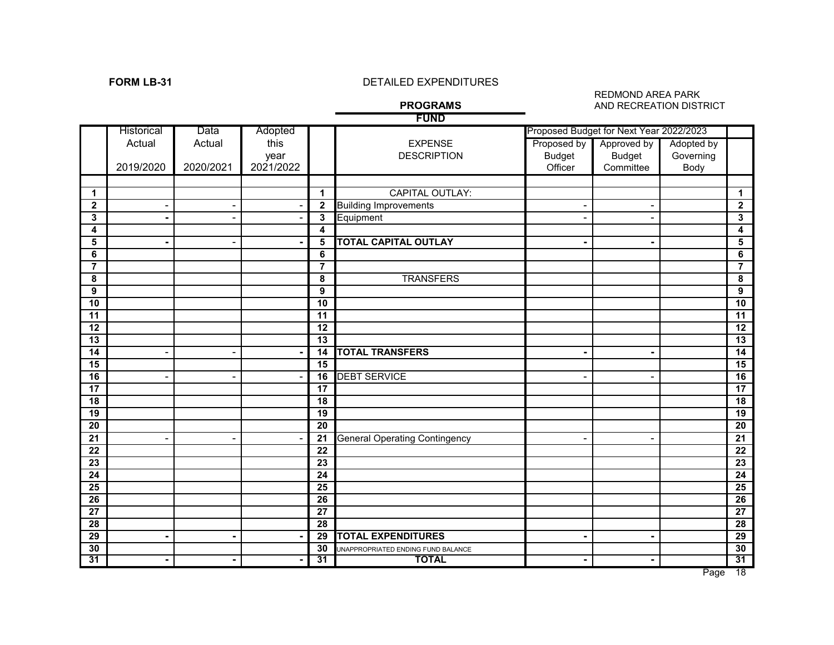# **FORM LB-31** DETAILED EXPENDITURES

### REDMOND AREA PARK **AND RECREATION DISTRICT**

|                 |                          |           |           |                         | <b>PROGRAMS</b>                      |                | AND RECREATION DISTRICT                 |            |                       |
|-----------------|--------------------------|-----------|-----------|-------------------------|--------------------------------------|----------------|-----------------------------------------|------------|-----------------------|
|                 |                          |           |           |                         | <b>FUND</b>                          |                |                                         |            |                       |
|                 | Historical               | Data      | Adopted   |                         |                                      |                | Proposed Budget for Next Year 2022/2023 |            |                       |
|                 | Actual                   | Actual    | this      |                         | <b>EXPENSE</b>                       | Proposed by    | Approved by                             | Adopted by |                       |
|                 |                          |           | year      |                         | <b>DESCRIPTION</b>                   | <b>Budget</b>  | <b>Budget</b>                           | Governing  |                       |
|                 | 2019/2020                | 2020/2021 | 2021/2022 |                         |                                      | Officer        | Committee                               | Body       |                       |
|                 |                          |           |           |                         |                                      |                |                                         |            |                       |
| $\mathbf 1$     |                          |           |           | $\mathbf{1}$            | <b>CAPITAL OUTLAY:</b>               |                |                                         |            | $\mathbf{1}$          |
| $\mathbf{2}$    |                          |           |           | $\mathbf 2$             | <b>Building Improvements</b>         | $\blacksquare$ | $\blacksquare$                          |            | $\mathbf{2}$          |
| $\mathbf 3$     |                          |           |           | $\overline{\mathbf{3}}$ | Equipment                            | $\blacksquare$ | $\blacksquare$                          |            | 3                     |
| 4               |                          |           |           | 4                       |                                      |                |                                         |            | 4                     |
| 5               |                          |           |           | 5                       | <b>TOTAL CAPITAL OUTLAY</b>          | $\blacksquare$ | $\blacksquare$                          |            | 5                     |
| 6               |                          |           |           | 6                       |                                      |                |                                         |            | 6                     |
| $\overline{7}$  |                          |           |           | $\overline{7}$          |                                      |                |                                         |            | $\overline{7}$        |
| 8               |                          |           |           | 8                       | <b>TRANSFERS</b>                     |                |                                         |            | 8                     |
| 9               |                          |           |           | $\overline{9}$          |                                      |                |                                         |            | 9                     |
| 10              |                          |           |           | $\overline{10}$         |                                      |                |                                         |            | $\overline{10}$       |
| $\overline{11}$ |                          |           |           | 11                      |                                      |                |                                         |            | $\overline{11}$       |
| 12<br>13        |                          |           |           | 12<br>13                |                                      |                |                                         |            | $\overline{12}$<br>13 |
| 14              | $\overline{a}$           |           |           | 14                      | <b>TOTAL TRANSFERS</b>               | $\blacksquare$ | $\blacksquare$                          |            | 14                    |
| 15              |                          |           |           | 15                      |                                      |                |                                         |            | 15                    |
| 16              | $\overline{\phantom{0}}$ |           |           | 16                      | <b>DEBT SERVICE</b>                  | $\overline{a}$ | ۰                                       |            | 16                    |
| 17              |                          |           |           | $\overline{17}$         |                                      |                |                                         |            | $\overline{17}$       |
| 18              |                          |           |           | 18                      |                                      |                |                                         |            | 18                    |
| 19              |                          |           |           | 19                      |                                      |                |                                         |            | 19                    |
| $\overline{20}$ |                          |           |           | $\overline{20}$         |                                      |                |                                         |            | $\overline{20}$       |
| $\overline{21}$ |                          |           |           | $\overline{21}$         | <b>General Operating Contingency</b> | $\blacksquare$ | $\blacksquare$                          |            | $\overline{21}$       |
| $\overline{22}$ |                          |           |           | $\overline{22}$         |                                      |                |                                         |            | 22                    |
| 23              |                          |           |           | $\overline{23}$         |                                      |                |                                         |            | 23                    |
| 24              |                          |           |           | $\overline{24}$         |                                      |                |                                         |            | 24                    |
| 25              |                          |           |           | $\overline{25}$         |                                      |                |                                         |            | $\overline{25}$       |
| $\overline{26}$ |                          |           |           | $\overline{26}$         |                                      |                |                                         |            | $\overline{26}$       |
| $\overline{27}$ |                          |           |           | 27                      |                                      |                |                                         |            | $\overline{27}$       |
| 28              |                          |           |           | $\overline{28}$         |                                      |                |                                         |            | $\overline{28}$       |
| 29              | ۰                        | -         |           | 29                      | <b>TOTAL EXPENDITURES</b>            | $\blacksquare$ | $\blacksquare$                          |            | 29                    |
| 30              |                          |           |           | 30                      | UNAPPROPRIATED ENDING FUND BALANCE   |                |                                         |            | 30                    |
| 31              | ۰                        |           |           | 31                      | <b>TOTAL</b>                         | $\blacksquare$ | $\blacksquare$                          |            | 31                    |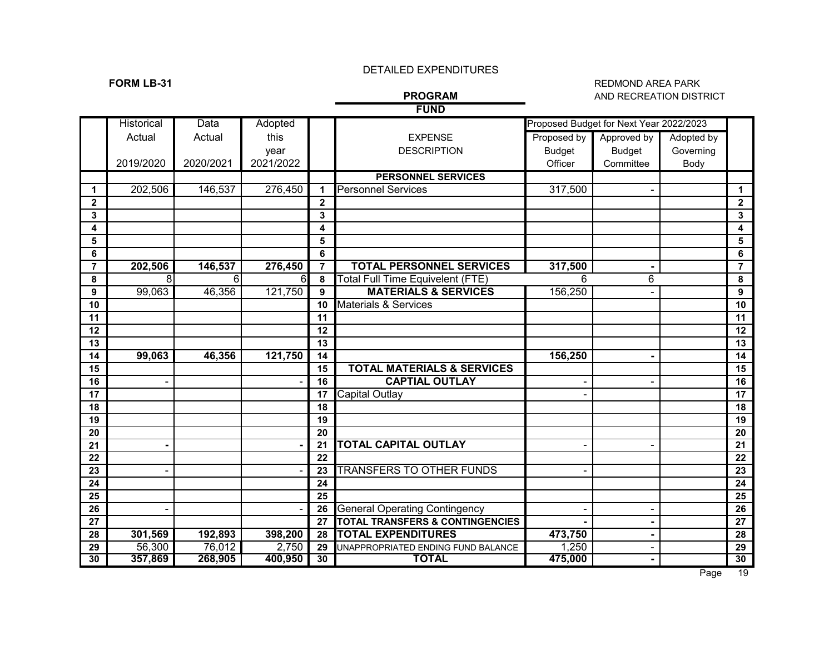## **FORM LB-31** REDMOND AREA PARK **AND RECREATION DISTRICT**

## **FUND**

|                  | <b>Historical</b> | Data      | Adopted   |                 |                                            |                | Proposed Budget for Next Year 2022/2023 |            |                  |
|------------------|-------------------|-----------|-----------|-----------------|--------------------------------------------|----------------|-----------------------------------------|------------|------------------|
|                  | Actual            | Actual    | this      |                 | <b>EXPENSE</b>                             | Proposed by    | Approved by                             | Adopted by |                  |
|                  |                   |           | year      |                 | <b>DESCRIPTION</b>                         | <b>Budget</b>  | <b>Budget</b>                           | Governing  |                  |
|                  | 2019/2020         | 2020/2021 | 2021/2022 |                 |                                            | Officer        | Committee                               | Body       |                  |
|                  |                   |           |           |                 | <b>PERSONNEL SERVICES</b>                  |                |                                         |            |                  |
| $\mathbf 1$      | 202,506           | 146,537   | 276,450   | 1               | <b>Personnel Services</b>                  | 317,500        |                                         |            | 1                |
| $\mathbf{2}$     |                   |           |           | $\mathbf{2}$    |                                            |                |                                         |            | $\mathbf{2}$     |
| 3                |                   |           |           | 3               |                                            |                |                                         |            | 3                |
| 4                |                   |           |           | 4               |                                            |                |                                         |            | 4                |
| 5                |                   |           |           | 5               |                                            |                |                                         |            | 5                |
| 6                |                   |           |           | 6               |                                            |                |                                         |            | 6                |
| $\overline{7}$   | 202,506           | 146,537   | 276,450   | $\overline{7}$  | <b>TOTAL PERSONNEL SERVICES</b>            | 317,500        | $\blacksquare$                          |            | $\overline{7}$   |
| 8                | 8                 | 6         | 6         | 8               | Total Full Time Equivelent (FTE)           | 6              | 6                                       |            | 8                |
| $\boldsymbol{9}$ | 99,063            | 46,356    | 121,750   | 9               | <b>MATERIALS &amp; SERVICES</b>            | 156,250        |                                         |            | $\boldsymbol{9}$ |
| 10               |                   |           |           | 10              | <b>Materials &amp; Services</b>            |                |                                         |            | 10               |
| 11               |                   |           |           | 11              |                                            |                |                                         |            | 11               |
| 12               |                   |           |           | 12              |                                            |                |                                         |            | 12               |
| 13               |                   |           |           | 13              |                                            |                |                                         |            | 13               |
| 14               | 99,063            | 46,356    | 121,750   | 14              |                                            | 156,250        |                                         |            | 14               |
| 15               |                   |           |           | 15              | <b>TOTAL MATERIALS &amp; SERVICES</b>      |                |                                         |            | 15               |
| 16               |                   |           |           | 16              | <b>CAPTIAL OUTLAY</b>                      |                |                                         |            | 16               |
| 17               |                   |           |           | 17              | Capital Outlay                             |                |                                         |            | 17               |
| 18               |                   |           |           | 18              |                                            |                |                                         |            | 18               |
| 19               |                   |           |           | 19              |                                            |                |                                         |            | 19               |
| 20               |                   |           |           | 20              |                                            |                |                                         |            | 20               |
| 21               |                   |           |           | 21              | <b>TOTAL CAPITAL OUTLAY</b>                | $\blacksquare$ | $\blacksquare$                          |            | 21               |
| 22               |                   |           |           | 22              |                                            |                |                                         |            | $\overline{22}$  |
| 23               |                   |           |           | 23              | <b>TRANSFERS TO OTHER FUNDS</b>            |                |                                         |            | 23               |
| 24               |                   |           |           | $\overline{24}$ |                                            |                |                                         |            | 24               |
| 25               |                   |           |           | 25              |                                            |                |                                         |            | 25               |
| 26               |                   |           |           | 26              | <b>General Operating Contingency</b>       |                |                                         |            | 26               |
| 27               |                   |           |           | 27              | <b>TOTAL TRANSFERS &amp; CONTINGENCIES</b> |                |                                         |            | 27               |
| 28               | 301,569           | 192,893   | 398,200   | 28              | <b>TOTAL EXPENDITURES</b>                  | 473,750        | $\blacksquare$                          |            | 28               |
| 29               | 56,300            | 76,012    | 2,750     | 29              | UNAPPROPRIATED ENDING FUND BALANCE         | 1,250          | $\blacksquare$                          |            | 29               |
| 30               | 357,869           | 268,905   | 400,950   | 30              | <b>TOTAL</b>                               | 475,000        | $\blacksquare$                          |            | 30               |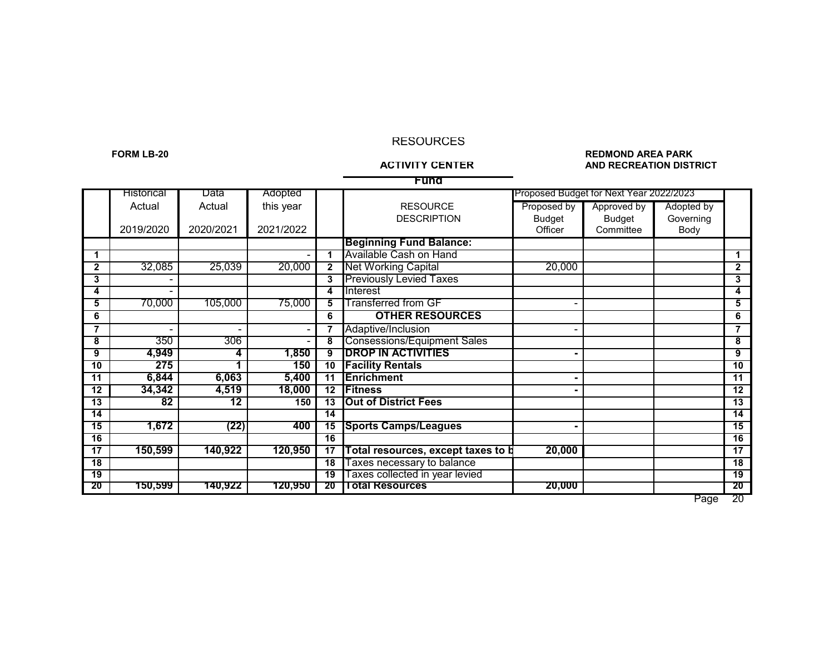### RESOURCES

### **FORM LB-20 REDMOND AREA PARK AND RECREATION DISTRICT**

| Funa            |                   |                 |           |                 |                                           |               |                                         |            |                 |  |  |  |
|-----------------|-------------------|-----------------|-----------|-----------------|-------------------------------------------|---------------|-----------------------------------------|------------|-----------------|--|--|--|
|                 | <b>Historical</b> | Data            | Adopted   |                 |                                           |               | Proposed Budget for Next Year 2022/2023 |            |                 |  |  |  |
|                 | Actual            | Actual          | this year |                 | <b>RESOURCE</b>                           | Proposed by   | Approved by                             | Adopted by |                 |  |  |  |
|                 |                   |                 |           |                 | <b>DESCRIPTION</b>                        | <b>Budget</b> | <b>Budget</b>                           | Governing  |                 |  |  |  |
|                 | 2019/2020         | 2020/2021       | 2021/2022 |                 |                                           | Officer       | Committee                               | Body       |                 |  |  |  |
|                 |                   |                 |           |                 | <b>Beginning Fund Balance:</b>            |               |                                         |            |                 |  |  |  |
| 1               |                   |                 |           |                 | Available Cash on Hand                    |               |                                         |            |                 |  |  |  |
| $\mathbf{2}$    | 32,085            | 25,039          | 20,000    | $\mathbf{2}$    | <b>Net Working Capital</b>                | 20,000        |                                         |            | $\mathbf{2}$    |  |  |  |
| 3               |                   |                 |           | 3               | <b>Previously Levied Taxes</b>            |               |                                         |            | 3               |  |  |  |
| 4               |                   |                 |           | 4               | Interest                                  |               |                                         |            | 4               |  |  |  |
| 5               | 70,000            | 105,000         | 75,000    | 5               | <b>Transferred from GF</b>                |               |                                         |            | 5               |  |  |  |
| 6               |                   |                 |           | 6               | <b>OTHER RESOURCES</b>                    |               |                                         |            | 6               |  |  |  |
| $\overline{7}$  |                   |                 |           |                 | Adaptive/Inclusion                        |               |                                         |            | $\overline{7}$  |  |  |  |
| 8               | 350               | 306             |           | 8               | <b>Consessions/Equipment Sales</b>        |               |                                         |            | 8               |  |  |  |
| 9               | 4,949             | 4               | 1,850     | 9               | <b>DROP IN ACTIVITIES</b>                 |               |                                         |            | 9               |  |  |  |
| 10              | 275               |                 | 150       | 10              | <b>Facility Rentals</b>                   |               |                                         |            | 10              |  |  |  |
| 11              | 6,844             | 6,063           | 5,400     | 11              | <b>Enrichment</b>                         |               |                                         |            | 11              |  |  |  |
| $\overline{12}$ | 34,342            | 4,519           | 18,000    | $\overline{12}$ | <b>Fitness</b>                            |               |                                         |            | $\overline{12}$ |  |  |  |
| 13              | 82                | $\overline{12}$ | 150       | 13              | <b>Out of District Fees</b>               |               |                                         |            | 13              |  |  |  |
| 14              |                   |                 |           | 14              |                                           |               |                                         |            | 14              |  |  |  |
| 15              | 1,672             | (22)            | 400       | 15              | <b>Sports Camps/Leagues</b>               |               |                                         |            | 15              |  |  |  |
| 16              |                   |                 |           | $\overline{16}$ |                                           |               |                                         |            | $\overline{16}$ |  |  |  |
| 17              | 150,599           | 140,922         | 120,950   | 17              | <b>Total resources, except taxes to b</b> | 20,000        |                                         |            | 17              |  |  |  |
| 18              |                   |                 |           | 18              | Taxes necessary to balance                |               |                                         |            | 18              |  |  |  |
| 19              |                   |                 |           | $\overline{19}$ | Taxes collected in year levied            |               |                                         |            | $\overline{19}$ |  |  |  |
| 20              | 150,599           | 140,922         | 120,950   | 20              | Total Resources                           | 20,000        |                                         |            | 20              |  |  |  |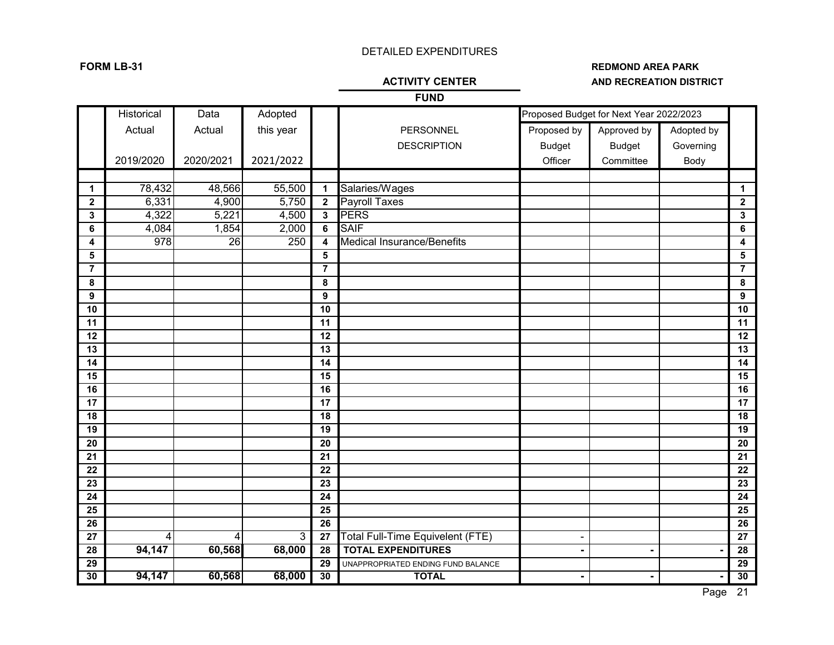# **FORM LB-31 REDMOND AREA PARK AND RECREATION DISTRICT**

|                       | <b>FUND</b> |           |           |                                    |                                    |                |                                         |            |                                    |  |  |  |  |
|-----------------------|-------------|-----------|-----------|------------------------------------|------------------------------------|----------------|-----------------------------------------|------------|------------------------------------|--|--|--|--|
|                       | Historical  | Data      | Adopted   |                                    |                                    |                | Proposed Budget for Next Year 2022/2023 |            |                                    |  |  |  |  |
|                       | Actual      | Actual    | this year |                                    | PERSONNEL                          | Proposed by    | Approved by                             | Adopted by |                                    |  |  |  |  |
|                       |             |           |           |                                    | <b>DESCRIPTION</b>                 | <b>Budget</b>  | <b>Budget</b>                           | Governing  |                                    |  |  |  |  |
|                       | 2019/2020   | 2020/2021 | 2021/2022 |                                    |                                    | Officer        | Committee                               | Body       |                                    |  |  |  |  |
|                       |             |           |           |                                    |                                    |                |                                         |            |                                    |  |  |  |  |
| $\mathbf{1}$          | 78,432      | 48,566    | 55,500    | $\mathbf{1}$                       | Salaries/Wages                     |                |                                         |            | 1                                  |  |  |  |  |
| $\mathbf{2}$          | 6,331       | 4,900     | 5,750     | $\overline{2}$                     | <b>Payroll Taxes</b>               |                |                                         |            | $\mathbf 2$                        |  |  |  |  |
| 3                     | 4,322       | 5,221     | 4,500     | $\overline{\mathbf{3}}$            | <b>PERS</b>                        |                |                                         |            | 3                                  |  |  |  |  |
| 6                     | 4,084       | 1,854     | 2,000     | $\overline{6}$                     | <b>SAIF</b>                        |                |                                         |            | 6                                  |  |  |  |  |
| 4                     | 978         | 26        | 250       | $\overline{\mathbf{4}}$            | <b>Medical Insurance/Benefits</b>  |                |                                         |            | 4                                  |  |  |  |  |
| 5                     |             |           |           | $5\phantom{a}$                     |                                    |                |                                         |            | 5                                  |  |  |  |  |
| $\overline{7}$        |             |           |           | $\overline{7}$                     |                                    |                |                                         |            | $\overline{7}$                     |  |  |  |  |
| 8                     |             |           |           | 8                                  |                                    |                |                                         |            | 8                                  |  |  |  |  |
| 9                     |             |           |           | $\boldsymbol{9}$                   |                                    |                |                                         |            | 9                                  |  |  |  |  |
| 10                    |             |           |           | 10                                 |                                    |                |                                         |            | 10                                 |  |  |  |  |
| 11                    |             |           |           | 11                                 |                                    |                |                                         |            | 11                                 |  |  |  |  |
| 12                    |             |           |           | 12                                 |                                    |                |                                         |            | 12                                 |  |  |  |  |
| 13                    |             |           |           | 13                                 |                                    |                |                                         |            | $\overline{13}$                    |  |  |  |  |
| 14                    |             |           |           | 14                                 |                                    |                |                                         |            | 14                                 |  |  |  |  |
| 15                    |             |           |           | 15                                 |                                    |                |                                         |            | 15                                 |  |  |  |  |
| 16                    |             |           |           | 16                                 |                                    |                |                                         |            | 16                                 |  |  |  |  |
| 17                    |             |           |           | 17                                 |                                    |                |                                         |            | 17                                 |  |  |  |  |
| 18                    |             |           |           | 18                                 |                                    |                |                                         |            | 18                                 |  |  |  |  |
| 19                    |             |           |           | $\overline{19}$                    |                                    |                |                                         |            | 19                                 |  |  |  |  |
| 20                    |             |           |           | 20                                 |                                    |                |                                         |            | 20                                 |  |  |  |  |
| 21<br>$\overline{22}$ |             |           |           | $\overline{21}$<br>$\overline{22}$ |                                    |                |                                         |            | $\overline{21}$<br>$\overline{22}$ |  |  |  |  |
| 23                    |             |           |           | 23                                 |                                    |                |                                         |            | 23                                 |  |  |  |  |
| 24                    |             |           |           | 24                                 |                                    |                |                                         |            | $\overline{24}$                    |  |  |  |  |
| 25                    |             |           |           | 25                                 |                                    |                |                                         |            | 25                                 |  |  |  |  |
| 26                    |             |           |           | 26                                 |                                    |                |                                         |            | 26                                 |  |  |  |  |
| 27                    | 4           | 4         | 3         | 27                                 | Total Full-Time Equivelent (FTE)   | $\blacksquare$ |                                         |            | 27                                 |  |  |  |  |
| 28                    | 94,147      | 60,568    | 68,000    | 28                                 | <b>TOTAL EXPENDITURES</b>          |                | $\blacksquare$                          |            | 28                                 |  |  |  |  |
| 29                    |             |           |           | 29                                 | UNAPPROPRIATED ENDING FUND BALANCE |                |                                         |            | 29                                 |  |  |  |  |
| 30                    | 94,147      | 60,568    | 68,000    | 30                                 | <b>TOTAL</b>                       |                |                                         |            | 30                                 |  |  |  |  |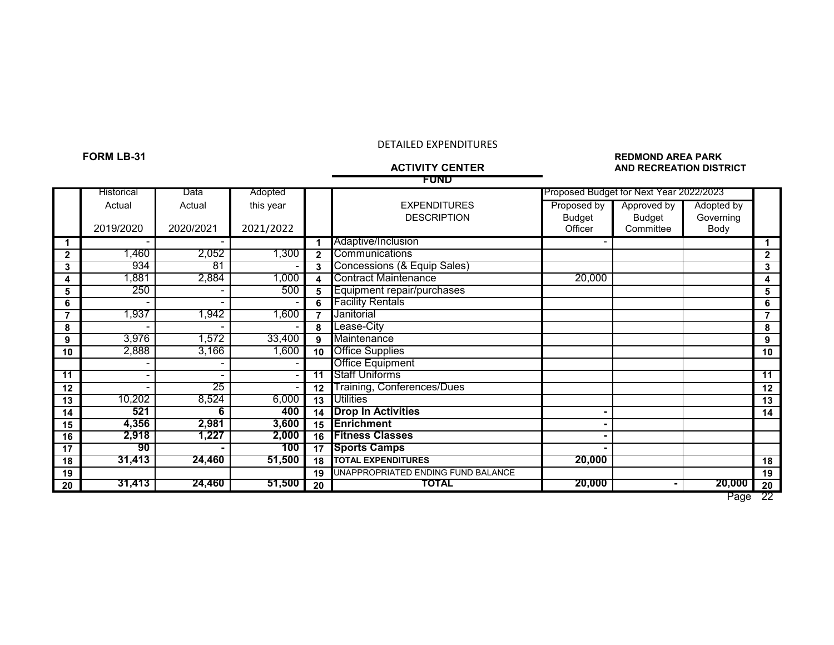### **FORM LB-31 REDMOND AREA PARK AND RECREATION DISTRICT**

|                 | <b>FUND</b> |           |           |                 |                                    |               |                                         |            |              |  |  |  |  |
|-----------------|-------------|-----------|-----------|-----------------|------------------------------------|---------------|-----------------------------------------|------------|--------------|--|--|--|--|
|                 | Historical  | Data      | Adopted   |                 |                                    |               | Proposed Budget for Next Year 2022/2023 |            |              |  |  |  |  |
|                 | Actual      | Actual    | this year |                 | <b>EXPENDITURES</b>                | Proposed by   | Approved by                             | Adopted by |              |  |  |  |  |
|                 |             |           |           |                 | <b>DESCRIPTION</b>                 | <b>Budget</b> | <b>Budget</b>                           | Governing  |              |  |  |  |  |
|                 | 2019/2020   | 2020/2021 | 2021/2022 |                 |                                    | Officer       | Committee                               | Body       |              |  |  |  |  |
|                 |             |           |           | 1               | Adaptive/Inclusion                 |               |                                         |            |              |  |  |  |  |
| $\mathbf{2}$    | 1,460       | 2,052     | 1,300     | $\mathbf{2}$    | Communications                     |               |                                         |            | $\mathbf{2}$ |  |  |  |  |
| 3               | 934         | 81        |           | 3               | Concessions (& Equip Sales)        |               |                                         |            | 3            |  |  |  |  |
| 4               | 1,881       | 2,884     | 1,000     | 4               | <b>Contract Maintenance</b>        | 20,000        |                                         |            | 4            |  |  |  |  |
| 5               | 250         |           | 500       | 5               | Equipment repair/purchases         |               |                                         |            | 5            |  |  |  |  |
| 6               |             |           |           | 6               | <b>Facility Rentals</b>            |               |                                         |            | 6            |  |  |  |  |
|                 | 1,937       | ,942      | 1,600     | 7               | Janitorial                         |               |                                         |            |              |  |  |  |  |
| 8               |             |           |           | 8               | Lease-City                         |               |                                         |            | 8            |  |  |  |  |
| 9               | 3,976       | ,572      | 33,400    | 9               | Maintenance                        |               |                                         |            | 9            |  |  |  |  |
| 10              | 2,888       | 3,166     | 1,600     | 10              | <b>Office Supplies</b>             |               |                                         |            | 10           |  |  |  |  |
|                 |             |           |           |                 | <b>Office Equipment</b>            |               |                                         |            |              |  |  |  |  |
| $\overline{11}$ |             |           |           | $\overline{11}$ | <b>Staff Uniforms</b>              |               |                                         |            | 11           |  |  |  |  |
| 12              |             | 25        |           | 12              | Training, Conferences/Dues         |               |                                         |            | 12           |  |  |  |  |
| 13              | 10,202      | 8,524     | 6,000     | 13              | <b>Utilities</b>                   |               |                                         |            | 13           |  |  |  |  |
| 14              | 521         | 6         | 400       | 14              | <b>Drop In Activities</b>          |               |                                         |            | 14           |  |  |  |  |
| 15              | 4,356       | 2,981     | 3,600     | 15              | <b>Enrichment</b>                  |               |                                         |            |              |  |  |  |  |
| 16              | 2,918       | 1,227     | 2,000     | 16              | <b>Fitness Classes</b>             |               |                                         |            |              |  |  |  |  |
| 17              | 90          |           | 100       | 17              | <b>Sports Camps</b>                |               |                                         |            |              |  |  |  |  |
| 18              | 31,413      | 24,460    | 51,500    | 18              | <b>TOTAL EXPENDITURES</b>          | 20,000        |                                         |            | 18           |  |  |  |  |
| 19              |             |           |           | 19              | UNAPPROPRIATED ENDING FUND BALANCE |               |                                         |            | 19           |  |  |  |  |
| 20              | 31,413      | 24,460    | 51,500    | 20              | TOTAL                              | 20,000        |                                         | 20,000     | 20           |  |  |  |  |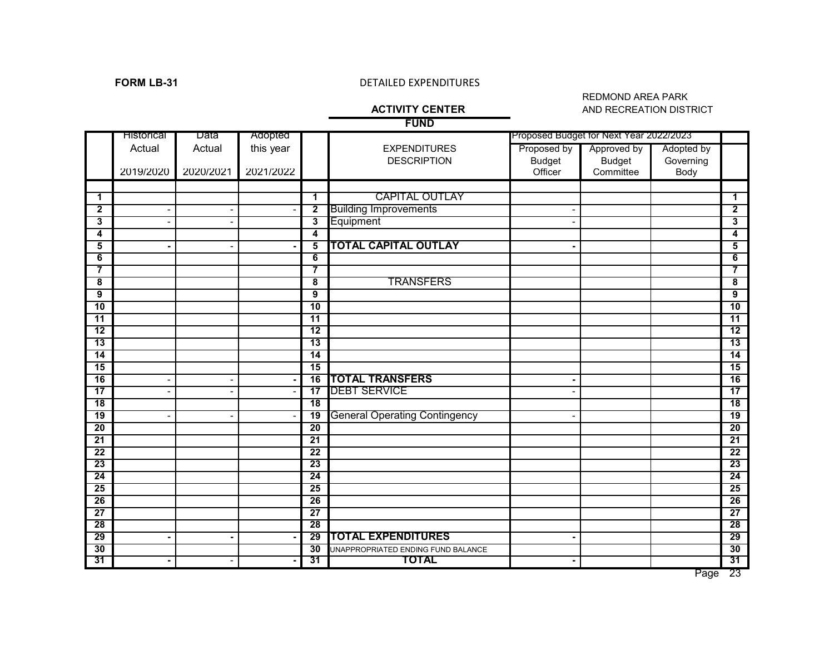# **FORM LB-31** DETAILED EXPENDITURES

### REDMOND AREA PARK **ACTIVITY CENTER** AND RECREATION DISTRICT

|                 | <b>FUND</b>                  |                          |           |                         |                                      |                |                                         |            |                 |  |
|-----------------|------------------------------|--------------------------|-----------|-------------------------|--------------------------------------|----------------|-----------------------------------------|------------|-----------------|--|
|                 | <b>Historical</b>            | Data                     | Adopted   |                         |                                      |                | Proposed Budget for Next Year 2022/2023 |            |                 |  |
|                 | Actual                       | Actual                   | this year |                         | <b>EXPENDITURES</b>                  | Proposed by    | Approved by                             | Adopted by |                 |  |
|                 |                              |                          |           |                         | <b>DESCRIPTION</b>                   | <b>Budget</b>  | <b>Budget</b>                           | Governing  |                 |  |
|                 | 2019/2020                    | 2020/2021                | 2021/2022 |                         |                                      | Officer        | Committee                               | Body       |                 |  |
|                 |                              |                          |           |                         |                                      |                |                                         |            |                 |  |
| $\mathbf 1$     |                              |                          |           | $\mathbf 1$             | <b>CAPITAL OUTLAY</b>                |                |                                         |            | $\mathbf 1$     |  |
| $\mathbf{2}$    |                              | $\overline{a}$           |           | $\overline{\mathbf{2}}$ | <b>Building Improvements</b>         |                |                                         |            | $\mathbf{2}$    |  |
| 3               |                              |                          |           | $\overline{\mathbf{3}}$ | Equipment                            |                |                                         |            | 3               |  |
| 4               |                              |                          |           | 4                       |                                      |                |                                         |            | 4               |  |
| 5               | ٠                            | $\overline{\phantom{0}}$ |           | $\overline{\mathbf{5}}$ | <b>TOTAL CAPITAL OUTLAY</b>          |                |                                         |            | 5               |  |
| 6               |                              |                          |           | 6                       |                                      |                |                                         |            | 6               |  |
| $\overline{7}$  |                              |                          |           | $\overline{\mathbf{7}}$ |                                      |                |                                         |            | $\overline{7}$  |  |
| 8               |                              |                          |           | 8                       | <b>TRANSFERS</b>                     |                |                                         |            | 8               |  |
| $\overline{9}$  |                              |                          |           | 9                       |                                      |                |                                         |            | 9               |  |
| 10              |                              |                          |           | $\overline{10}$         |                                      |                |                                         |            | 10              |  |
| $\overline{11}$ |                              |                          |           | $\overline{11}$         |                                      |                |                                         |            | $\overline{11}$ |  |
| 12              |                              |                          |           | $\overline{12}$         |                                      |                |                                         |            | $\overline{12}$ |  |
| $\overline{13}$ |                              |                          |           | 13                      |                                      |                |                                         |            | $\overline{13}$ |  |
| 14              |                              |                          |           | 14                      |                                      |                |                                         |            | 14              |  |
| $\overline{15}$ |                              |                          |           | $\overline{15}$         |                                      |                |                                         |            | 15              |  |
| 16              |                              | $\overline{a}$           |           | 16                      | <b>TOTAL TRANSFERS</b>               |                |                                         |            | 16              |  |
| $\overline{17}$ |                              | $\overline{\phantom{a}}$ |           | $\overline{17}$         | <b>DEBT SERVICE</b>                  |                |                                         |            | $\overline{17}$ |  |
| 18              |                              |                          |           | $\overline{18}$         |                                      |                |                                         |            | $\overline{18}$ |  |
| 19              | $\qquad \qquad \blacksquare$ | $\overline{\phantom{a}}$ |           | 19                      | <b>General Operating Contingency</b> |                |                                         |            | 19              |  |
| $\overline{20}$ |                              |                          |           | $\overline{20}$         |                                      |                |                                         |            | 20              |  |
| $\overline{21}$ |                              |                          |           | 21                      |                                      |                |                                         |            | 21              |  |
| $\overline{22}$ |                              |                          |           | $\overline{22}$         |                                      |                |                                         |            | $\overline{22}$ |  |
| $\overline{23}$ |                              |                          |           | 23                      |                                      |                |                                         |            | 23              |  |
| $\overline{24}$ |                              |                          |           | 24                      |                                      |                |                                         |            | 24              |  |
| $\overline{25}$ |                              |                          |           | 25                      |                                      |                |                                         |            | 25              |  |
| 26              |                              |                          |           | 26                      |                                      |                |                                         |            | 26              |  |
| $\overline{27}$ |                              |                          |           | 27                      |                                      |                |                                         |            | 27              |  |
| 28              |                              |                          |           | 28                      |                                      |                |                                         |            | 28              |  |
| 29              | ٠                            | $\blacksquare$           |           | 29                      | <b>TOTAL EXPENDITURES</b>            | $\blacksquare$ |                                         |            | 29              |  |
| 30              |                              |                          |           | 30                      | UNAPPROPRIATED ENDING FUND BALANCE   |                |                                         |            | 30              |  |
| 31              | $\blacksquare$               | $\overline{\phantom{a}}$ |           | 31                      | <b>TOTAL</b>                         | ٠              |                                         |            | 31              |  |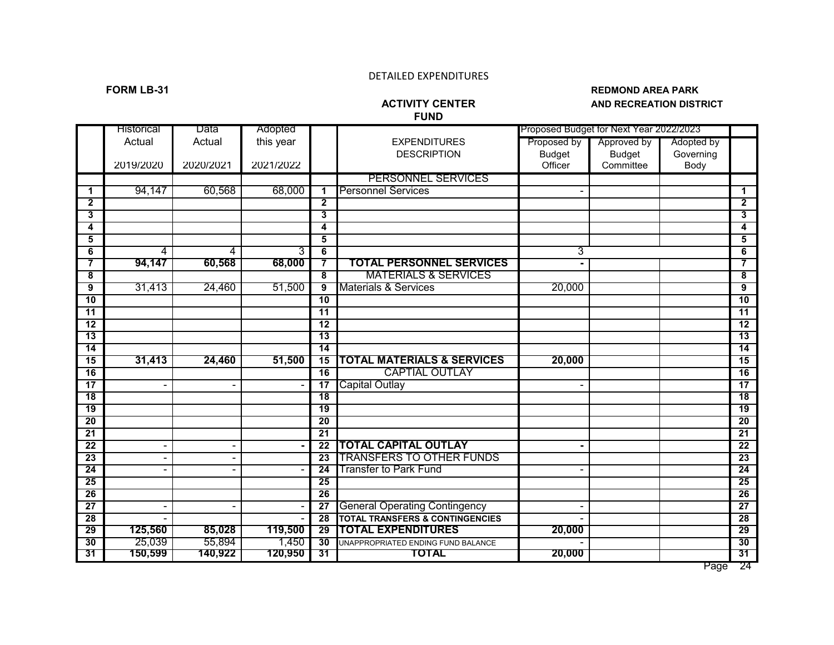# **FUND**

### **FORM LB-31 REDMOND AREA PARK AND RECREATION DISTRICT**

|                 | Historical | Data      | Adopted   |                         |                                            |               | Proposed Budget for Next Year 2022/2023 |            |                         |
|-----------------|------------|-----------|-----------|-------------------------|--------------------------------------------|---------------|-----------------------------------------|------------|-------------------------|
|                 | Actual     | Actual    | this year |                         | <b>EXPENDITURES</b>                        | Proposed by   | Approved by                             | Adopted by |                         |
|                 |            |           |           |                         | <b>DESCRIPTION</b>                         | <b>Budget</b> | <b>Budget</b>                           | Governing  |                         |
|                 | 2019/2020  | 2020/2021 | 2021/2022 |                         |                                            | Officer       | Committee                               | Body       |                         |
|                 |            |           |           |                         | <b>PERSONNEL SERVICES</b>                  |               |                                         |            |                         |
| 1               | 94,147     | 60,568    | 68,000    | 1                       | <b>Personnel Services</b>                  |               |                                         |            | 1                       |
| 2               |            |           |           | $\overline{\mathbf{2}}$ |                                            |               |                                         |            | $\overline{\mathbf{2}}$ |
| 3               |            |           |           | 3                       |                                            |               |                                         |            | 3                       |
| 4               |            |           |           | 4                       |                                            |               |                                         |            | 4                       |
| 5               |            |           |           | $\overline{\mathbf{5}}$ |                                            |               |                                         |            | $\overline{\mathbf{5}}$ |
| 6               | 4          | 4         | 3         | 6                       |                                            | 3             |                                         |            | $6\overline{6}$         |
| 7               | 94,147     | 60,568    | 68,000    | 7                       | <b>TOTAL PERSONNEL SERVICES</b>            |               |                                         |            | 7                       |
| 8               |            |           |           | $\overline{\mathbf{8}}$ | <b>MATERIALS &amp; SERVICES</b>            |               |                                         |            | 8                       |
| 9               | 31,413     | 24,460    | 51,500    | $\overline{9}$          | <b>Materials &amp; Services</b>            | 20,000        |                                         |            | 9                       |
| 10              |            |           |           | $\overline{10}$         |                                            |               |                                         |            | 10                      |
| $\overline{11}$ |            |           |           | 11                      |                                            |               |                                         |            | $\overline{11}$         |
| $\overline{12}$ |            |           |           | $\overline{12}$         |                                            |               |                                         |            | 12                      |
| $\overline{13}$ |            |           |           | $\overline{13}$         |                                            |               |                                         |            | $\overline{13}$         |
| 14              |            |           |           | 14                      |                                            |               |                                         |            | 14                      |
| 15              | 31,413     | 24,460    | 51,500    | $\overline{15}$         | <b>TOTAL MATERIALS &amp; SERVICES</b>      | 20,000        |                                         |            | 15                      |
| 16              |            |           |           | $\overline{16}$         | <b>CAPTIAL OUTLAY</b>                      |               |                                         |            | 16                      |
| $\overline{17}$ |            |           |           | $\overline{17}$         | <b>Capital Outlay</b>                      |               |                                         |            | 17                      |
| $\overline{18}$ |            |           |           | $\overline{18}$         |                                            |               |                                         |            | 18                      |
| $\overline{19}$ |            |           |           | $\overline{19}$         |                                            |               |                                         |            | $\overline{19}$         |
| 20              |            |           |           | 20                      |                                            |               |                                         |            | $\overline{20}$         |
| $\overline{21}$ |            |           |           | $\overline{21}$         |                                            |               |                                         |            | 21                      |
| 22              |            |           |           | $\overline{22}$         | <b>TOTAL CAPITAL OUTLAY</b>                |               |                                         |            | $\overline{22}$         |
| $\overline{23}$ |            |           |           | $\overline{23}$         | <b>TRANSFERS TO OTHER FUNDS</b>            |               |                                         |            | 23                      |
| $\overline{24}$ |            |           |           | $\overline{24}$         | <b>Transfer to Park Fund</b>               |               |                                         |            | $\overline{24}$         |
| 25              |            |           |           | 25                      |                                            |               |                                         |            | 25                      |
| 26              |            |           |           | 26                      |                                            |               |                                         |            | 26                      |
| $\overline{27}$ |            |           |           | $\overline{27}$         | <b>General Operating Contingency</b>       |               |                                         |            | 27                      |
| 28              |            |           |           | $\overline{28}$         | <b>TOTAL TRANSFERS &amp; CONTINGENCIES</b> |               |                                         |            | 28                      |
| 29              | 125,560    | 85,028    | 119,500   | 29                      | <b>TOTAL EXPENDITURES</b>                  | 20,000        |                                         |            | 29                      |
| 30              | 25,039     | 55,894    | 1,450     | 30                      | UNAPPROPRIATED ENDING FUND BALANCE         |               |                                         |            | 30                      |
| 31              | 150,599    | 140,922   | 120,950   | 31                      | <b>TOTAL</b>                               | 20,000        |                                         |            | 31                      |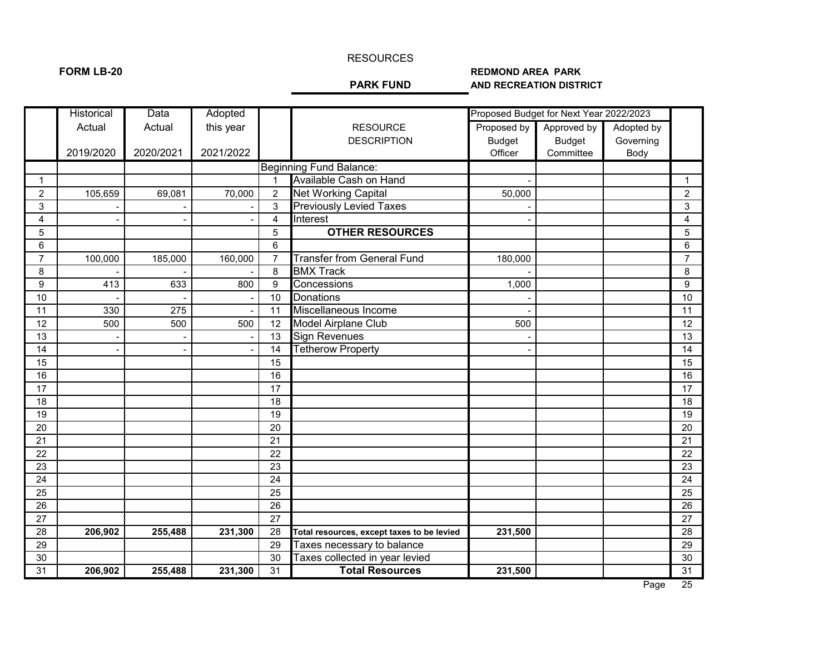### RESOURCES

## FORM LB-20 **REDMOND AREA PARK**<br>PARK FUND AND RECREATION DISTRI **AND RECREATION DISTRICT**

|                 | <b>Historical</b> | Data      | Adopted   |                 |                                            |               | Proposed Budget for Next Year 2022/2023 |            |                 |
|-----------------|-------------------|-----------|-----------|-----------------|--------------------------------------------|---------------|-----------------------------------------|------------|-----------------|
|                 | Actual            | Actual    | this year |                 | <b>RESOURCE</b>                            | Proposed by   | Approved by                             | Adopted by |                 |
|                 |                   |           |           |                 | <b>DESCRIPTION</b>                         | <b>Budget</b> | <b>Budget</b>                           | Governing  |                 |
|                 | 2019/2020         | 2020/2021 | 2021/2022 |                 |                                            | Officer       | Committee                               | Body       |                 |
|                 |                   |           |           |                 | <b>Beginning Fund Balance:</b>             |               |                                         |            |                 |
| $\mathbf{1}$    |                   |           |           |                 | Available Cash on Hand                     |               |                                         |            | $\mathbf{1}$    |
| $\overline{c}$  | 105,659           | 69,081    | 70,000    | $\overline{2}$  | <b>Net Working Capital</b>                 | 50,000        |                                         |            | $\overline{2}$  |
| $\mathbf{3}$    |                   |           |           | 3               | <b>Previously Levied Taxes</b>             |               |                                         |            | 3               |
| 4               |                   |           |           | 4               | Interest                                   |               |                                         |            | 4               |
| $\overline{5}$  |                   |           |           | 5               | <b>OTHER RESOURCES</b>                     |               |                                         |            | 5               |
| 6               |                   |           |           | 6               |                                            |               |                                         |            | $\,6\,$         |
| $\overline{7}$  | 100,000           | 185,000   | 160,000   | $\overline{7}$  | <b>Transfer from General Fund</b>          | 180,000       |                                         |            | $\overline{7}$  |
| 8               |                   |           |           | 8               | <b>BMX Track</b>                           |               |                                         |            | 8               |
| 9               | 413               | 633       | 800       | 9               | Concessions                                | 1,000         |                                         |            | 9               |
| 10              |                   |           |           | 10              | Donations                                  |               |                                         |            | 10              |
| 11              | 330               | 275       |           | 11              | Miscellaneous Income                       |               |                                         |            | 11              |
| 12              | 500               | 500       | 500       | 12              | Model Airplane Club                        | 500           |                                         |            | 12              |
| 13              |                   |           |           | 13              | <b>Sign Revenues</b>                       |               |                                         |            | 13              |
| 14              |                   |           |           | 14              | <b>Tetherow Property</b>                   |               |                                         |            | 14              |
| 15              |                   |           |           | 15              |                                            |               |                                         |            | 15              |
| 16              |                   |           |           | 16              |                                            |               |                                         |            | 16              |
| 17              |                   |           |           | 17              |                                            |               |                                         |            | 17              |
| $\overline{18}$ |                   |           |           | 18              |                                            |               |                                         |            | 18              |
| 19              |                   |           |           | 19              |                                            |               |                                         |            | 19              |
| 20              |                   |           |           | 20              |                                            |               |                                         |            | 20              |
| 21              |                   |           |           | $\overline{21}$ |                                            |               |                                         |            | 21              |
| $\overline{22}$ |                   |           |           | $\overline{22}$ |                                            |               |                                         |            | 22              |
| 23              |                   |           |           | 23              |                                            |               |                                         |            | 23              |
| $\overline{24}$ |                   |           |           | $\overline{24}$ |                                            |               |                                         |            | 24              |
| $\overline{25}$ |                   |           |           | $\overline{25}$ |                                            |               |                                         |            | 25              |
| $\overline{26}$ |                   |           |           | $\overline{26}$ |                                            |               |                                         |            | 26              |
| 27              |                   |           |           | 27              |                                            |               |                                         |            | 27              |
| 28              | 206,902           | 255,488   | 231,300   | 28              | Total resources, except taxes to be levied | 231,500       |                                         |            | 28              |
| 29              |                   |           |           | 29              | Taxes necessary to balance                 |               |                                         |            | 29              |
| 30              |                   |           |           | 30              | Taxes collected in year levied             |               |                                         |            | 30              |
| 31              | 206,902           | 255,488   | 231,300   | $\overline{31}$ | <b>Total Resources</b>                     | 231,500       |                                         |            | $\overline{31}$ |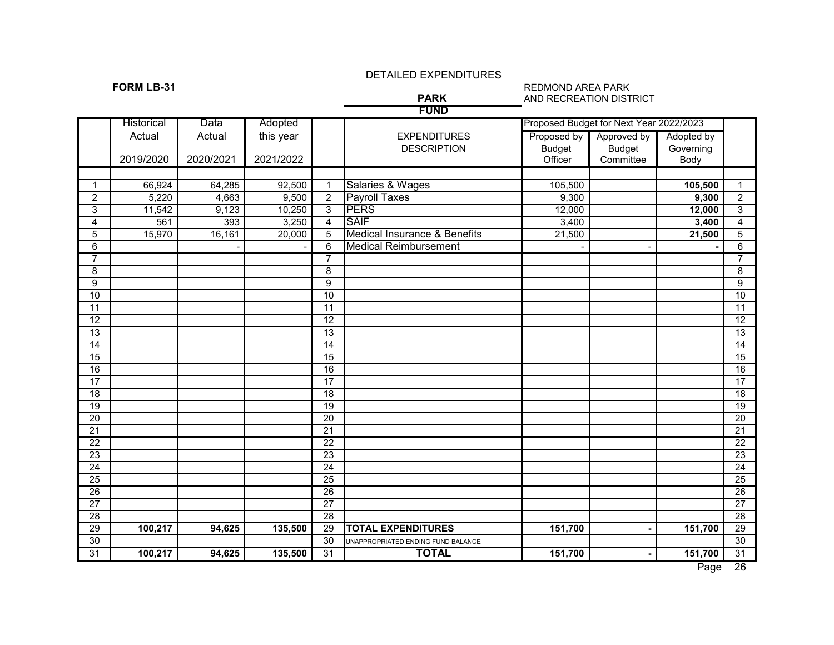**FUND**

### **FORM LB-31** REDMOND AREA PARK REDMOND AREA PARK REDMOND AREA PARK PARK AND RECREATION DIST **AND RECREATION DISTRICT**

|                 | <b>Historical</b> | Data      | Adopted   |                 |                                         |               | Proposed Budget for Next Year 2022/2023 |            |                  |
|-----------------|-------------------|-----------|-----------|-----------------|-----------------------------------------|---------------|-----------------------------------------|------------|------------------|
|                 | Actual            | Actual    | this year |                 | <b>EXPENDITURES</b>                     | Proposed by   | Approved by                             | Adopted by |                  |
|                 |                   |           |           |                 | <b>DESCRIPTION</b>                      | <b>Budget</b> | <b>Budget</b>                           | Governing  |                  |
|                 | 2019/2020         | 2020/2021 | 2021/2022 |                 |                                         | Officer       | Committee                               | Body       |                  |
|                 |                   |           |           |                 |                                         |               |                                         |            |                  |
| $\mathbf 1$     | 66,924            | 64,285    | 92,500    | $\overline{1}$  | Salaries & Wages                        | 105,500       |                                         | 105,500    | $\mathbf{1}$     |
| $\overline{c}$  | 5,220             | 4,663     | 9,500     | $\overline{c}$  | <b>Payroll Taxes</b>                    | 9,300         |                                         | 9,300      | $\overline{2}$   |
| 3               | 11,542            | 9,123     | 10,250    | $\overline{3}$  | <b>PERS</b>                             | 12,000        |                                         | 12,000     | $\overline{3}$   |
| $\overline{4}$  | 561               | 393       | 3,250     | 4               | <b>SAIF</b>                             | 3,400         |                                         | 3,400      | $\overline{4}$   |
| $\overline{5}$  | 15,970            | 16,161    | 20,000    | $\overline{5}$  | <b>Medical Insurance &amp; Benefits</b> | 21,500        |                                         | 21,500     | $\overline{5}$   |
| 6               |                   |           |           | $\overline{6}$  | <b>Medical Reimbursement</b>            |               |                                         |            | $\overline{6}$   |
| $\overline{7}$  |                   |           |           | $\overline{7}$  |                                         |               |                                         |            | $\overline{7}$   |
| 8               |                   |           |           | 8               |                                         |               |                                         |            | $\overline{8}$   |
| 9               |                   |           |           | 9               |                                         |               |                                         |            | $\boldsymbol{9}$ |
| $\overline{10}$ |                   |           |           | 10              |                                         |               |                                         |            | $\overline{10}$  |
| $\overline{11}$ |                   |           |           | 11              |                                         |               |                                         |            | 11               |
| $\overline{12}$ |                   |           |           | $\overline{12}$ |                                         |               |                                         |            | $\overline{12}$  |
| $\overline{13}$ |                   |           |           | $\overline{13}$ |                                         |               |                                         |            | $\overline{13}$  |
| 14              |                   |           |           | 14              |                                         |               |                                         |            | $\overline{14}$  |
| $\overline{15}$ |                   |           |           | $\overline{15}$ |                                         |               |                                         |            | 15               |
| 16              |                   |           |           | 16              |                                         |               |                                         |            | 16               |
| $\overline{17}$ |                   |           |           | 17              |                                         |               |                                         |            | $\overline{17}$  |
| $\overline{18}$ |                   |           |           | 18              |                                         |               |                                         |            | 18               |
| 19              |                   |           |           | $\overline{19}$ |                                         |               |                                         |            | 19               |
| 20              |                   |           |           | 20              |                                         |               |                                         |            | 20               |
| 21              |                   |           |           | $\overline{21}$ |                                         |               |                                         |            | 21               |
| $\overline{22}$ |                   |           |           | $\overline{22}$ |                                         |               |                                         |            | 22               |
| 23              |                   |           |           | $\overline{23}$ |                                         |               |                                         |            | 23               |
| $\overline{24}$ |                   |           |           | 24              |                                         |               |                                         |            | 24               |
| $\overline{25}$ |                   |           |           | $\overline{25}$ |                                         |               |                                         |            | $\overline{25}$  |
| 26              |                   |           |           | 26              |                                         |               |                                         |            | $\overline{26}$  |
| $\overline{27}$ |                   |           |           | $\overline{27}$ |                                         |               |                                         |            | 27               |
| $\overline{28}$ |                   |           |           | $\overline{28}$ |                                         |               |                                         |            | $\overline{28}$  |
| $\overline{29}$ | 100,217           | 94,625    | 135,500   | $\overline{29}$ | <b>TOTAL EXPENDITURES</b>               | 151,700       |                                         | 151,700    | 29               |
| $\overline{30}$ |                   |           |           | $\overline{30}$ | UNAPPROPRIATED ENDING FUND BALANCE      |               |                                         |            | $\overline{30}$  |
| 31              | 100,217           | 94,625    | 135,500   | 31              | <b>TOTAL</b>                            | 151,700       |                                         | 151,700    | 31               |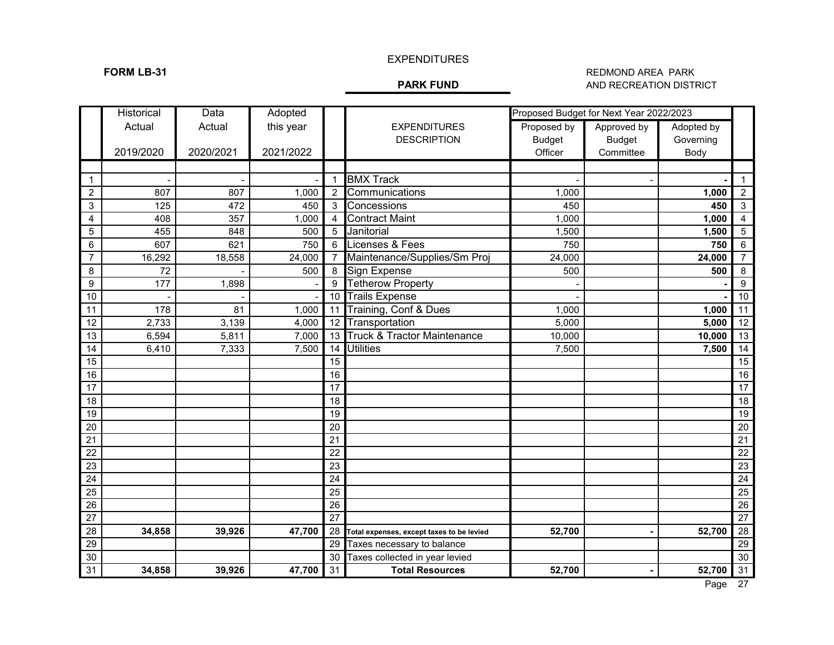# EXPENDITURES

### **FORM LB-31** REDMOND AREA PARK **PARK FUND** REDMOND AREA PARK REDMOND AREA PARK **AND RECREATION DISTRICT**

|                 | Historical | Data      | Adopted   |                 |                                           | Proposed Budget for Next Year 2022/2023 |               |            |                 |
|-----------------|------------|-----------|-----------|-----------------|-------------------------------------------|-----------------------------------------|---------------|------------|-----------------|
|                 | Actual     | Actual    | this year |                 | <b>EXPENDITURES</b>                       | Proposed by                             | Approved by   | Adopted by |                 |
|                 |            |           |           |                 | <b>DESCRIPTION</b>                        | <b>Budget</b>                           | <b>Budget</b> | Governing  |                 |
|                 | 2019/2020  | 2020/2021 | 2021/2022 |                 |                                           | Officer                                 | Committee     | Body       |                 |
|                 |            |           |           |                 |                                           |                                         |               |            |                 |
| 1               |            |           |           | $\mathbf{1}$    | <b>BMX Track</b>                          |                                         |               |            | $\mathbf 1$     |
| $\overline{2}$  | 807        | 807       | 1,000     | $\overline{2}$  | Communications                            | 1,000                                   |               | 1,000      | $\overline{c}$  |
| 3               | 125        | 472       | 450       | 3               | Concessions                               | 450                                     |               | 450        | $\sqrt{3}$      |
| 4               | 408        | 357       | 1,000     | $\overline{4}$  | <b>Contract Maint</b>                     | 1,000                                   |               | 1,000      | 4               |
| 5               | 455        | 848       | 500       | 5               | Janitorial                                | 1,500                                   |               | 1,500      | 5               |
| 6               | 607        | 621       | 750       | 6               | Licenses & Fees                           | 750                                     |               | 750        | 6               |
| $\overline{7}$  | 16,292     | 18,558    | 24,000    | $\overline{7}$  | Maintenance/Supplies/Sm Proj              | 24,000                                  |               | 24,000     | $\overline{7}$  |
| 8               | 72         |           | 500       | 8               | Sign Expense                              | 500                                     |               | 500        | 8               |
| 9               | 177        | 1,898     |           | 9               | <b>Tetherow Property</b>                  |                                         |               |            | 9               |
| 10              |            |           |           | 10              | <b>Trails Expense</b>                     |                                         |               |            | 10              |
| 11              | 178        | 81        | 1,000     | 11              | Training, Conf & Dues                     | 1,000                                   |               | 1,000      | 11              |
| 12              | 2,733      | 3,139     | 4,000     | 12              | Transportation                            | 5,000                                   |               | 5,000      | 12              |
| 13              | 6,594      | 5,811     | 7,000     | 13              | <b>Truck &amp; Tractor Maintenance</b>    | 10,000                                  |               | 10,000     | 13              |
| 14              | 6,410      | 7,333     | 7,500     | 14              | <b>Utilities</b>                          | 7,500                                   |               | 7,500      | 14              |
| 15              |            |           |           | 15              |                                           |                                         |               |            | 15              |
| 16              |            |           |           | 16              |                                           |                                         |               |            | 16              |
| 17              |            |           |           | 17              |                                           |                                         |               |            | $\overline{17}$ |
| 18              |            |           |           | 18              |                                           |                                         |               |            | 18              |
| 19              |            |           |           | 19              |                                           |                                         |               |            | 19              |
| 20              |            |           |           | 20              |                                           |                                         |               |            | 20              |
| 21              |            |           |           | 21              |                                           |                                         |               |            | $\overline{21}$ |
| $\overline{22}$ |            |           |           | 22              |                                           |                                         |               |            | $\overline{22}$ |
| $\overline{23}$ |            |           |           | 23              |                                           |                                         |               |            | $\overline{23}$ |
| $\overline{24}$ |            |           |           | $\overline{24}$ |                                           |                                         |               |            | 24              |
| 25              |            |           |           | 25              |                                           |                                         |               |            | $\overline{25}$ |
| 26              |            |           |           | 26              |                                           |                                         |               |            | $\overline{26}$ |
| 27              |            |           |           | $\overline{27}$ |                                           |                                         |               |            | $\overline{27}$ |
| 28              | 34,858     | 39,926    | 47,700    | 28              | Total expenses, except taxes to be levied | 52,700                                  |               | 52,700     | 28              |
| 29              |            |           |           | 29              | Taxes necessary to balance                |                                         |               |            | 29              |
| 30              |            |           |           | 30              | Taxes collected in year levied            |                                         |               |            | 30              |
| 31              | 34,858     | 39,926    | 47,700    | 31              | <b>Total Resources</b>                    | 52,700                                  |               | 52,700     | 31              |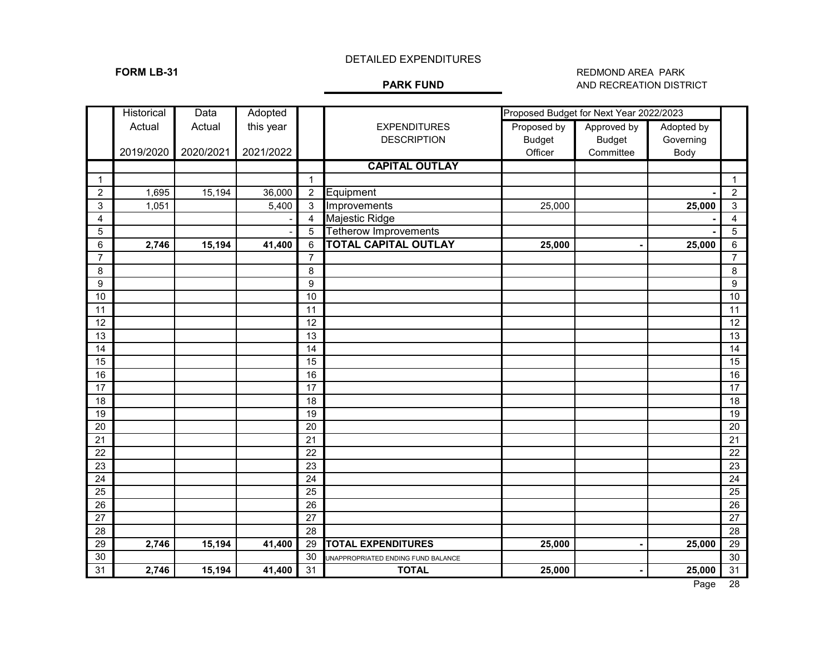### **FORM LB-31** REDMOND AREA PARK **PARK FUND** REDMOND AREA PARK REDMOND AREA PARK **AND RECREATION DISTRICT**

|                 | Historical | Data      | Adopted   |                 |                                    | Proposed Budget for Next Year 2022/2023 |               |            |                 |
|-----------------|------------|-----------|-----------|-----------------|------------------------------------|-----------------------------------------|---------------|------------|-----------------|
|                 | Actual     | Actual    | this year |                 | <b>EXPENDITURES</b>                | Proposed by                             | Approved by   | Adopted by |                 |
|                 |            |           |           |                 | <b>DESCRIPTION</b>                 | <b>Budget</b>                           | <b>Budget</b> | Governing  |                 |
|                 | 2019/2020  | 2020/2021 | 2021/2022 |                 |                                    | Officer                                 | Committee     | Body       |                 |
|                 |            |           |           |                 | <b>CAPITAL OUTLAY</b>              |                                         |               |            |                 |
| $\mathbf{1}$    |            |           |           | $\mathbf{1}$    |                                    |                                         |               |            | $\mathbf{1}$    |
| $\overline{2}$  | 1,695      | 15,194    | 36,000    | $\overline{2}$  | Equipment                          |                                         |               |            | $\overline{2}$  |
| $\mathsf 3$     | 1,051      |           | 5,400     | 3               | Improvements                       | 25,000                                  |               | 25,000     | $\sqrt{3}$      |
| 4               |            |           |           | $\overline{4}$  | Majestic Ridge                     |                                         |               |            | $\overline{4}$  |
| $\overline{5}$  |            |           |           | 5               | <b>Tetherow Improvements</b>       |                                         |               |            | $\mathbf 5$     |
| $6\,$           | 2,746      | 15,194    | 41,400    | 6               | <b>TOTAL CAPITAL OUTLAY</b>        | 25,000                                  |               | 25,000     | $\,6\,$         |
| $\overline{7}$  |            |           |           | $\overline{7}$  |                                    |                                         |               |            | $\overline{7}$  |
| 8               |            |           |           | 8               |                                    |                                         |               |            | $\bf 8$         |
| 9               |            |           |           | 9               |                                    |                                         |               |            | 9               |
| 10              |            |           |           | 10              |                                    |                                         |               |            | 10              |
| 11              |            |           |           | 11              |                                    |                                         |               |            | 11              |
| 12              |            |           |           | 12              |                                    |                                         |               |            | 12              |
| 13              |            |           |           | 13              |                                    |                                         |               |            | 13              |
| 14              |            |           |           | 14              |                                    |                                         |               |            | 14              |
| 15              |            |           |           | 15              |                                    |                                         |               |            | 15              |
| 16              |            |           |           | 16              |                                    |                                         |               |            | 16              |
| $\overline{17}$ |            |           |           | 17              |                                    |                                         |               |            | $\overline{17}$ |
| 18              |            |           |           | 18              |                                    |                                         |               |            | 18              |
| 19              |            |           |           | 19              |                                    |                                         |               |            | 19              |
| 20              |            |           |           | 20              |                                    |                                         |               |            | $\overline{20}$ |
| 21              |            |           |           | 21              |                                    |                                         |               |            | $\overline{21}$ |
| $\overline{22}$ |            |           |           | 22              |                                    |                                         |               |            | 22              |
| $\overline{23}$ |            |           |           | $\overline{23}$ |                                    |                                         |               |            | $\overline{23}$ |
| $\overline{24}$ |            |           |           | $\overline{24}$ |                                    |                                         |               |            | 24              |
| $\overline{25}$ |            |           |           | 25              |                                    |                                         |               |            | $\overline{25}$ |
| $\overline{26}$ |            |           |           | 26              |                                    |                                         |               |            | 26              |
| $\overline{27}$ |            |           |           | 27              |                                    |                                         |               |            | 27              |
| 28              |            |           |           | 28              |                                    |                                         |               |            | 28              |
| 29              | 2,746      | 15,194    | 41,400    | 29              | <b>TOTAL EXPENDITURES</b>          | 25,000                                  |               | 25,000     | 29              |
| 30              |            |           |           | 30              | UNAPPROPRIATED ENDING FUND BALANCE |                                         |               |            | 30              |
| 31              | 2,746      | 15,194    | 41,400    | 31              | <b>TOTAL</b>                       | 25,000                                  |               | 25,000     | 31              |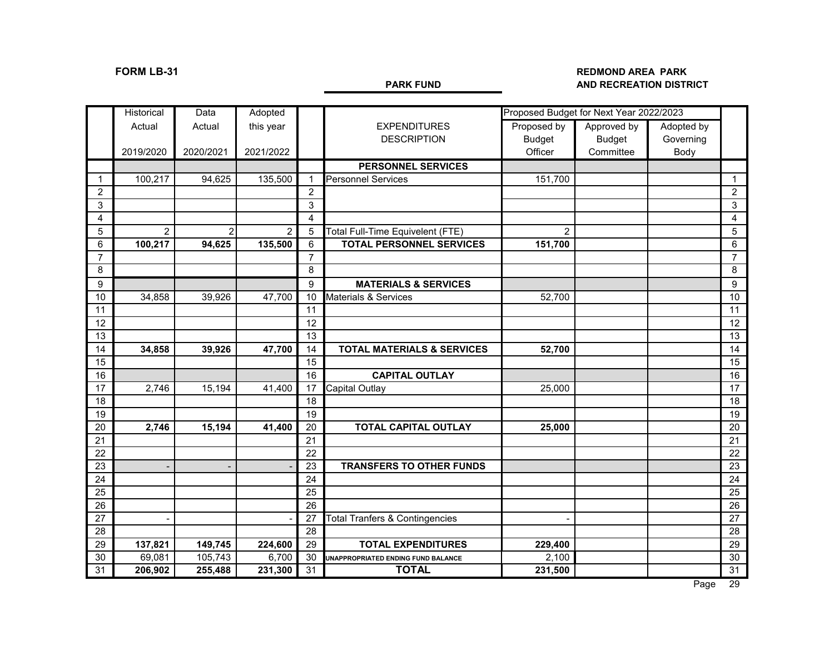### **FORM LB-31 REDMOND AREA PARK AND RECREATION DISTRICT**

|                 | Historical     | Data           | Adopted        |                        | Proposed Budget for Next Year 2022/2023   |                          |               |            |                 |
|-----------------|----------------|----------------|----------------|------------------------|-------------------------------------------|--------------------------|---------------|------------|-----------------|
|                 | Actual         | Actual         | this year      |                        | <b>EXPENDITURES</b>                       | Proposed by              | Approved by   | Adopted by |                 |
|                 |                |                |                |                        | <b>DESCRIPTION</b>                        | <b>Budget</b>            | <b>Budget</b> | Governing  |                 |
|                 | 2019/2020      | 2020/2021      | 2021/2022      |                        |                                           | Officer                  | Committee     | Body       |                 |
|                 |                |                |                |                        | <b>PERSONNEL SERVICES</b>                 |                          |               |            |                 |
| $\mathbf{1}$    | 100,217        | 94,625         | 135,500        | $\mathbf 1$            | <b>Personnel Services</b>                 | 151,700                  |               |            | $\mathbf{1}$    |
| $\overline{2}$  |                |                |                | $\overline{2}$         |                                           |                          |               |            | $\overline{2}$  |
| 3               |                |                |                | 3                      |                                           |                          |               |            | 3               |
| $\overline{4}$  |                |                |                | $\boldsymbol{\Lambda}$ |                                           |                          |               |            | $\overline{4}$  |
| 5               | $\overline{2}$ | $\overline{2}$ | $\overline{2}$ | 5                      | Total Full-Time Equivelent (FTE)          | $\overline{2}$           |               |            | 5               |
| 6               | 100,217        | 94,625         | 135,500        | 6                      | <b>TOTAL PERSONNEL SERVICES</b>           | 151,700                  |               |            | $\,6$           |
| $\overline{7}$  |                |                |                | $\overline{7}$         |                                           |                          |               |            | $\overline{7}$  |
| 8               |                |                |                | 8                      |                                           |                          |               |            | 8               |
| 9               |                |                |                | 9                      | <b>MATERIALS &amp; SERVICES</b>           |                          |               |            | 9               |
| 10              | 34,858         | 39,926         | 47,700         | 10                     | Materials & Services                      | 52,700                   |               |            | 10              |
| 11              |                |                |                | 11                     |                                           |                          |               |            | 11              |
| 12              |                |                |                | 12                     |                                           |                          |               |            | 12              |
| 13              |                |                |                | 13                     |                                           |                          |               |            | 13              |
| 14              | 34,858         | 39,926         | 47,700         | 14                     | <b>TOTAL MATERIALS &amp; SERVICES</b>     | 52,700                   |               |            | 14              |
| $\overline{15}$ |                |                |                | 15                     |                                           |                          |               |            | 15              |
| 16              |                |                |                | 16                     | <b>CAPITAL OUTLAY</b>                     |                          |               |            | 16              |
| 17              | 2,746          | 15,194         | 41,400         | 17                     | <b>Capital Outlay</b>                     | 25,000                   |               |            | 17              |
| 18              |                |                |                | 18                     |                                           |                          |               |            | 18              |
| 19              |                |                |                | 19                     |                                           |                          |               |            | 19              |
| 20              | 2,746          | 15,194         | 41,400         | 20                     | <b>TOTAL CAPITAL OUTLAY</b>               | 25,000                   |               |            | 20              |
| 21              |                |                |                | 21                     |                                           |                          |               |            | 21              |
| 22              |                |                |                | 22                     |                                           |                          |               |            | 22              |
| 23              |                |                |                | 23                     | <b>TRANSFERS TO OTHER FUNDS</b>           |                          |               |            | 23              |
| 24              |                |                |                | 24                     |                                           |                          |               |            | 24              |
| $\overline{25}$ |                |                |                | 25                     |                                           |                          |               |            | 25              |
| $\overline{26}$ |                |                |                | $\overline{26}$        |                                           |                          |               |            | $\overline{26}$ |
| 27              |                |                |                | 27                     | <b>Total Tranfers &amp; Contingencies</b> | $\overline{\phantom{0}}$ |               |            | 27              |
| 28              |                |                |                | 28                     |                                           |                          |               |            | 28              |
| 29              | 137,821        | 149,745        | 224,600        | 29                     | <b>TOTAL EXPENDITURES</b>                 | 229,400                  |               |            | 29              |
| 30              | 69,081         | 105,743        | 6,700          | 30                     | UNAPPROPRIATED ENDING FUND BALANCE        | 2,100                    |               |            | 30              |
| 31              | 206,902        | 255,488        | 231,300        | 31                     | <b>TOTAL</b>                              | 231,500                  |               |            | 31              |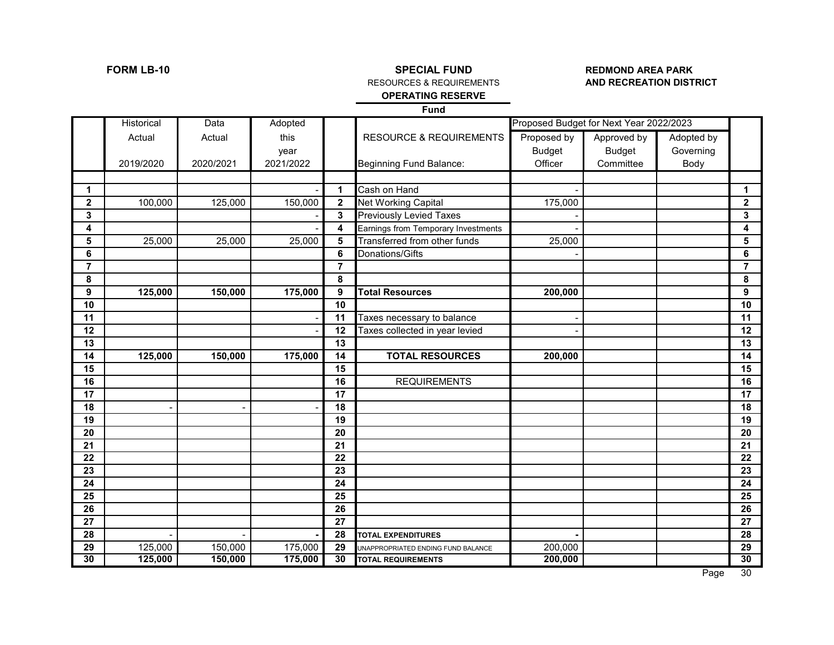# **FORM LB-10 SPECIAL FUND SPECIAL FUND REDMOND AREA PARK**<br>RESOURCES & REQUIREMENTS **AND RECREATION DISTRICT**

### **RESOURCES & REQUIREMENTS OPERATING RESERVE**

**Fund**

|              | Historical | Data                     | Adopted   |                         |                                     |               | Proposed Budget for Next Year 2022/2023 |            |                         |
|--------------|------------|--------------------------|-----------|-------------------------|-------------------------------------|---------------|-----------------------------------------|------------|-------------------------|
|              | Actual     | Actual                   | this      |                         | <b>RESOURCE &amp; REQUIREMENTS</b>  | Proposed by   | Approved by                             | Adopted by |                         |
|              |            |                          | year      |                         |                                     | <b>Budget</b> | <b>Budget</b>                           | Governing  |                         |
|              | 2019/2020  | 2020/2021                | 2021/2022 |                         | Beginning Fund Balance:             | Officer       | Committee                               | Body       |                         |
|              |            |                          |           |                         |                                     |               |                                         |            |                         |
| $\mathbf 1$  |            |                          |           | $\mathbf{1}$            | Cash on Hand                        |               |                                         |            | 1                       |
| $\mathbf{2}$ | 100,000    | 125,000                  | 150,000   | $\overline{\mathbf{2}}$ | Net Working Capital                 | 175,000       |                                         |            | $\overline{\mathbf{2}}$ |
| 3            |            |                          |           | 3                       | <b>Previously Levied Taxes</b>      |               |                                         |            | 3                       |
| 4            |            |                          |           | $\overline{\mathbf{4}}$ | Earnings from Temporary Investments |               |                                         |            | 4                       |
| 5            | 25,000     | 25,000                   | 25,000    | 5                       | Transferred from other funds        | 25,000        |                                         |            | 5                       |
| 6            |            |                          |           | 6                       | Donations/Gifts                     |               |                                         |            | 6                       |
| 7            |            |                          |           | $\overline{7}$          |                                     |               |                                         |            | 7                       |
| 8            |            |                          |           | 8                       |                                     |               |                                         |            | 8                       |
| 9            | 125,000    | 150,000                  | 175,000   | 9                       | <b>Total Resources</b>              | 200,000       |                                         |            | 9                       |
| 10           |            |                          |           | 10                      |                                     |               |                                         |            | 10                      |
| 11           |            |                          |           | 11                      | Taxes necessary to balance          |               |                                         |            | 11                      |
| 12           |            |                          |           | 12                      | Taxes collected in year levied      |               |                                         |            | 12                      |
| 13           |            |                          |           | 13                      |                                     |               |                                         |            | 13                      |
| 14           | 125,000    | 150,000                  | 175,000   | 14                      | <b>TOTAL RESOURCES</b>              | 200,000       |                                         |            | 14                      |
| 15           |            |                          |           | 15                      |                                     |               |                                         |            | 15                      |
| 16           |            |                          |           | 16                      | <b>REQUIREMENTS</b>                 |               |                                         |            | 16                      |
| 17           |            |                          |           | 17                      |                                     |               |                                         |            | 17                      |
| 18           |            | $\overline{\phantom{a}}$ |           | 18                      |                                     |               |                                         |            | 18                      |
| 19           |            |                          |           | 19                      |                                     |               |                                         |            | 19                      |
| 20           |            |                          |           | 20                      |                                     |               |                                         |            | 20                      |
| 21           |            |                          |           | 21                      |                                     |               |                                         |            | 21                      |
| 22           |            |                          |           | 22                      |                                     |               |                                         |            | 22                      |
| 23           |            |                          |           | 23                      |                                     |               |                                         |            | 23                      |
| 24           |            |                          |           | 24                      |                                     |               |                                         |            | 24                      |
| 25           |            |                          |           | 25                      |                                     |               |                                         |            | 25                      |
| 26           |            |                          |           | 26                      |                                     |               |                                         |            | 26                      |
| 27           |            |                          |           | 27                      |                                     |               |                                         |            | 27                      |
| 28           |            |                          |           | 28                      | <b>TOTAL EXPENDITURES</b>           |               |                                         |            | 28                      |
| 29           | 125,000    | 150,000                  | 175,000   | 29                      | UNAPPROPRIATED ENDING FUND BALANCE  | 200,000       |                                         |            | 29                      |
| 30           | 125,000    | 150,000                  | 175,000   | 30                      | <b>TOTAL REQUIREMENTS</b>           | 200,000       |                                         |            | 30                      |